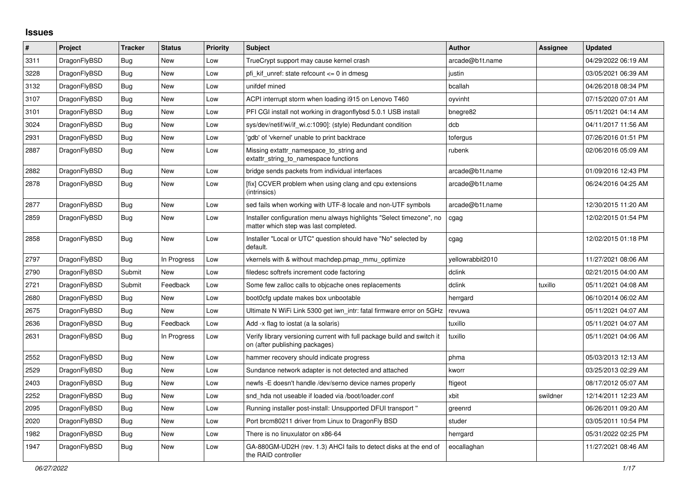## **Issues**

| #    | Project      | <b>Tracker</b> | <b>Status</b> | <b>Priority</b> | <b>Subject</b>                                                                                                | <b>Author</b>    | Assignee | <b>Updated</b>      |
|------|--------------|----------------|---------------|-----------------|---------------------------------------------------------------------------------------------------------------|------------------|----------|---------------------|
| 3311 | DragonFlyBSD | <b>Bug</b>     | <b>New</b>    | Low             | TrueCrypt support may cause kernel crash                                                                      | arcade@b1t.name  |          | 04/29/2022 06:19 AM |
| 3228 | DragonFlyBSD | <b>Bug</b>     | <b>New</b>    | Low             | pfi kif unref: state refcount $\leq$ 0 in dmesg                                                               | justin           |          | 03/05/2021 06:39 AM |
| 3132 | DragonFlyBSD | Bug            | New           | Low             | unifdef mined                                                                                                 | bcallah          |          | 04/26/2018 08:34 PM |
| 3107 | DragonFlyBSD | Bug            | <b>New</b>    | Low             | ACPI interrupt storm when loading i915 on Lenovo T460                                                         | oyvinht          |          | 07/15/2020 07:01 AM |
| 3101 | DragonFlyBSD | Bug            | <b>New</b>    | Low             | PFI CGI install not working in dragonflybsd 5.0.1 USB install                                                 | bnegre82         |          | 05/11/2021 04:14 AM |
| 3024 | DragonFlyBSD | Bug            | <b>New</b>    | Low             | sys/dev/netif/wi/if wi.c:1090]: (style) Redundant condition                                                   | dcb              |          | 04/11/2017 11:56 AM |
| 2931 | DragonFlyBSD | Bug            | <b>New</b>    | Low             | 'gdb' of 'vkernel' unable to print backtrace                                                                  | tofergus         |          | 07/26/2016 01:51 PM |
| 2887 | DragonFlyBSD | <b>Bug</b>     | <b>New</b>    | Low             | Missing extattr_namespace_to_string and<br>extattr_string_to_namespace functions                              | rubenk           |          | 02/06/2016 05:09 AM |
| 2882 | DragonFlyBSD | Bug            | <b>New</b>    | Low             | bridge sends packets from individual interfaces                                                               | arcade@b1t.name  |          | 01/09/2016 12:43 PM |
| 2878 | DragonFlyBSD | Bug            | New           | Low             | [fix] CCVER problem when using clang and cpu extensions<br>(intrinsics)                                       | arcade@b1t.name  |          | 06/24/2016 04:25 AM |
| 2877 | DragonFlyBSD | <b>Bug</b>     | <b>New</b>    | Low             | sed fails when working with UTF-8 locale and non-UTF symbols                                                  | arcade@b1t.name  |          | 12/30/2015 11:20 AM |
| 2859 | DragonFlyBSD | <b>Bug</b>     | New           | Low             | Installer configuration menu always highlights "Select timezone", no<br>matter which step was last completed. | cgag             |          | 12/02/2015 01:54 PM |
| 2858 | DragonFlyBSD | Bug            | New           | Low             | Installer "Local or UTC" question should have "No" selected by<br>default.                                    | cgag             |          | 12/02/2015 01:18 PM |
| 2797 | DragonFlyBSD | <b>Bug</b>     | In Progress   | Low             | vkernels with & without machdep.pmap mmu optimize                                                             | vellowrabbit2010 |          | 11/27/2021 08:06 AM |
| 2790 | DragonFlyBSD | Submit         | <b>New</b>    | Low             | filedesc softrefs increment code factoring                                                                    | dclink           |          | 02/21/2015 04:00 AM |
| 2721 | DragonFlyBSD | Submit         | Feedback      | Low             | Some few zalloc calls to objcache ones replacements                                                           | dclink           | tuxillo  | 05/11/2021 04:08 AM |
| 2680 | DragonFlyBSD | Bug            | <b>New</b>    | Low             | boot0cfg update makes box unbootable                                                                          | herrgard         |          | 06/10/2014 06:02 AM |
| 2675 | DragonFlyBSD | Bug            | New           | Low             | Ultimate N WiFi Link 5300 get iwn intr: fatal firmware error on 5GHz                                          | revuwa           |          | 05/11/2021 04:07 AM |
| 2636 | DragonFlyBSD | <b>Bug</b>     | Feedback      | Low             | Add -x flag to iostat (a la solaris)                                                                          | tuxillo          |          | 05/11/2021 04:07 AM |
| 2631 | DragonFlyBSD | Bug            | In Progress   | Low             | Verify library versioning current with full package build and switch it<br>on (after publishing packages)     | tuxillo          |          | 05/11/2021 04:06 AM |
| 2552 | DragonFlyBSD | <b>Bug</b>     | <b>New</b>    | Low             | hammer recovery should indicate progress                                                                      | phma             |          | 05/03/2013 12:13 AM |
| 2529 | DragonFlyBSD | Bug            | <b>New</b>    | Low             | Sundance network adapter is not detected and attached                                                         | kworr            |          | 03/25/2013 02:29 AM |
| 2403 | DragonFlyBSD | Bug            | <b>New</b>    | Low             | newfs -E doesn't handle /dev/serno device names properly                                                      | ftigeot          |          | 08/17/2012 05:07 AM |
| 2252 | DragonFlyBSD | Bug            | <b>New</b>    | Low             | snd hda not useable if loaded via /boot/loader.conf                                                           | xbit             | swildner | 12/14/2011 12:23 AM |
| 2095 | DragonFlyBSD | Bug            | <b>New</b>    | Low             | Running installer post-install: Unsupported DFUI transport "                                                  | greenrd          |          | 06/26/2011 09:20 AM |
| 2020 | DragonFlyBSD | Bug            | <b>New</b>    | Low             | Port brcm80211 driver from Linux to DragonFly BSD                                                             | studer           |          | 03/05/2011 10:54 PM |
| 1982 | DragonFlyBSD | Bug            | <b>New</b>    | Low             | There is no linuxulator on x86-64                                                                             | herrgard         |          | 05/31/2022 02:25 PM |
| 1947 | DragonFlyBSD | <b>Bug</b>     | <b>New</b>    | Low             | GA-880GM-UD2H (rev. 1.3) AHCI fails to detect disks at the end of<br>the RAID controller                      | eocallaghan      |          | 11/27/2021 08:46 AM |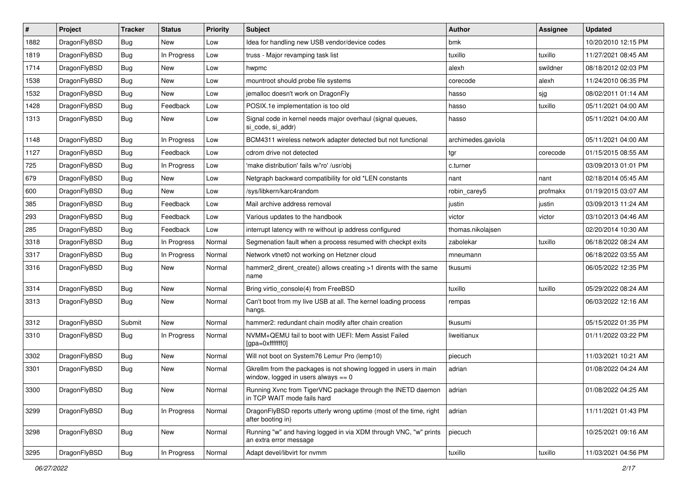| ∦    | Project      | <b>Tracker</b> | <b>Status</b> | <b>Priority</b> | <b>Subject</b>                                                                                            | <b>Author</b>      | Assignee | <b>Updated</b>      |
|------|--------------|----------------|---------------|-----------------|-----------------------------------------------------------------------------------------------------------|--------------------|----------|---------------------|
| 1882 | DragonFlyBSD | <b>Bug</b>     | New           | Low             | Idea for handling new USB vendor/device codes                                                             | bmk                |          | 10/20/2010 12:15 PM |
| 1819 | DragonFlyBSD | Bug            | In Progress   | Low             | truss - Major revamping task list                                                                         | tuxillo            | tuxillo  | 11/27/2021 08:45 AM |
| 1714 | DragonFlyBSD | <b>Bug</b>     | New           | Low             | hwpmc                                                                                                     | alexh              | swildner | 08/18/2012 02:03 PM |
| 1538 | DragonFlyBSD | <b>Bug</b>     | New           | Low             | mountroot should probe file systems                                                                       | corecode           | alexh    | 11/24/2010 06:35 PM |
| 1532 | DragonFlyBSD | <b>Bug</b>     | <b>New</b>    | Low             | jemalloc doesn't work on DragonFly                                                                        | hasso              | sjg      | 08/02/2011 01:14 AM |
| 1428 | DragonFlyBSD | <b>Bug</b>     | Feedback      | Low             | POSIX.1e implementation is too old                                                                        | hasso              | tuxillo  | 05/11/2021 04:00 AM |
| 1313 | DragonFlyBSD | Bug            | New           | Low             | Signal code in kernel needs major overhaul (signal queues,<br>si code, si addr)                           | hasso              |          | 05/11/2021 04:00 AM |
| 1148 | DragonFlyBSD | <b>Bug</b>     | In Progress   | Low             | BCM4311 wireless network adapter detected but not functional                                              | archimedes.gaviola |          | 05/11/2021 04:00 AM |
| 1127 | DragonFlyBSD | <b>Bug</b>     | Feedback      | Low             | cdrom drive not detected                                                                                  | tgr                | corecode | 01/15/2015 08:55 AM |
| 725  | DragonFlyBSD | <b>Bug</b>     | In Progress   | Low             | 'make distribution' fails w/'ro' /usr/obj                                                                 | c.turner           |          | 03/09/2013 01:01 PM |
| 679  | DragonFlyBSD | <b>Bug</b>     | New           | Low             | Netgraph backward compatibility for old *LEN constants                                                    | nant               | nant     | 02/18/2014 05:45 AM |
| 600  | DragonFlyBSD | <b>Bug</b>     | New           | Low             | /sys/libkern/karc4random                                                                                  | robin_carey5       | profmakx | 01/19/2015 03:07 AM |
| 385  | DragonFlyBSD | <b>Bug</b>     | Feedback      | Low             | Mail archive address removal                                                                              | justin             | justin   | 03/09/2013 11:24 AM |
| 293  | DragonFlyBSD | <b>Bug</b>     | Feedback      | Low             | Various updates to the handbook                                                                           | victor             | victor   | 03/10/2013 04:46 AM |
| 285  | DragonFlyBSD | <b>Bug</b>     | Feedback      | Low             | interrupt latency with re without ip address configured                                                   | thomas.nikolaisen  |          | 02/20/2014 10:30 AM |
| 3318 | DragonFlyBSD | <b>Bug</b>     | In Progress   | Normal          | Segmenation fault when a process resumed with checkpt exits                                               | zabolekar          | tuxillo  | 06/18/2022 08:24 AM |
| 3317 | DragonFlyBSD | <b>Bug</b>     | In Progress   | Normal          | Network vtnet0 not working on Hetzner cloud                                                               | mneumann           |          | 06/18/2022 03:55 AM |
| 3316 | DragonFlyBSD | <b>Bug</b>     | New           | Normal          | hammer2 dirent create() allows creating >1 dirents with the same<br>name                                  | tkusumi            |          | 06/05/2022 12:35 PM |
| 3314 | DragonFlyBSD | <b>Bug</b>     | New           | Normal          | Bring virtio console(4) from FreeBSD                                                                      | tuxillo            | tuxillo  | 05/29/2022 08:24 AM |
| 3313 | DragonFlyBSD | <b>Bug</b>     | New           | Normal          | Can't boot from my live USB at all. The kernel loading process<br>hangs.                                  | rempas             |          | 06/03/2022 12:16 AM |
| 3312 | DragonFlyBSD | Submit         | <b>New</b>    | Normal          | hammer2: redundant chain modify after chain creation                                                      | tkusumi            |          | 05/15/2022 01:35 PM |
| 3310 | DragonFlyBSD | Bug            | In Progress   | Normal          | NVMM+QEMU fail to boot with UEFI: Mem Assist Failed<br>[gpa=0xfffffff0]                                   | liweitianux        |          | 01/11/2022 03:22 PM |
| 3302 | DragonFlyBSD | <b>Bug</b>     | New           | Normal          | Will not boot on System76 Lemur Pro (lemp10)                                                              | piecuch            |          | 11/03/2021 10:21 AM |
| 3301 | DragonFlyBSD | Bug            | New           | Normal          | Gkrellm from the packages is not showing logged in users in main<br>window, logged in users always $== 0$ | adrian             |          | 01/08/2022 04:24 AM |
| 3300 | DragonFlyBSD | <b>Bug</b>     | New           | Normal          | Running Xvnc from TigerVNC package through the INETD daemon<br>in TCP WAIT mode fails hard                | adrian             |          | 01/08/2022 04:25 AM |
| 3299 | DragonFlyBSD | Bug            | In Progress   | Normal          | DragonFlyBSD reports utterly wrong uptime (most of the time, right<br>after booting in)                   | adrian             |          | 11/11/2021 01:43 PM |
| 3298 | DragonFlyBSD | <b>Bug</b>     | New           | Normal          | Running "w" and having logged in via XDM through VNC, "w" prints<br>an extra error message                | piecuch            |          | 10/25/2021 09:16 AM |
| 3295 | DragonFlyBSD | <b>Bug</b>     | In Progress   | Normal          | Adapt devel/libvirt for nvmm                                                                              | tuxillo            | tuxillo  | 11/03/2021 04:56 PM |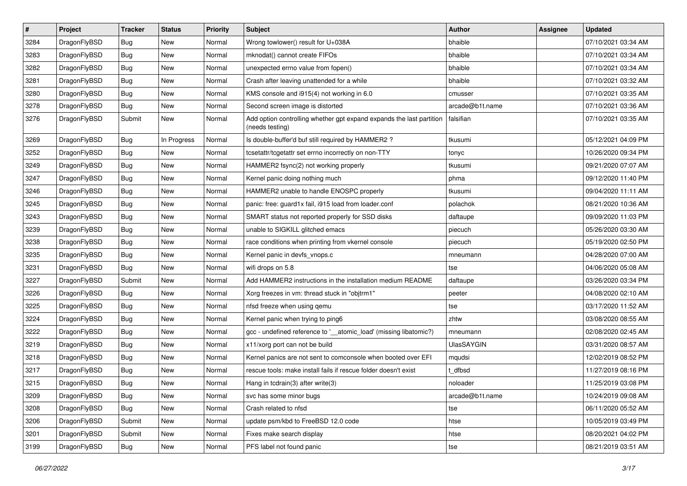| $\vert$ # | Project      | <b>Tracker</b> | <b>Status</b> | <b>Priority</b> | <b>Subject</b>                                                                          | <b>Author</b>   | Assignee | <b>Updated</b>      |
|-----------|--------------|----------------|---------------|-----------------|-----------------------------------------------------------------------------------------|-----------------|----------|---------------------|
| 3284      | DragonFlyBSD | <b>Bug</b>     | <b>New</b>    | Normal          | Wrong towlower() result for U+038A                                                      | bhaible         |          | 07/10/2021 03:34 AM |
| 3283      | DragonFlyBSD | <b>Bug</b>     | <b>New</b>    | Normal          | mknodat() cannot create FIFOs                                                           | bhaible         |          | 07/10/2021 03:34 AM |
| 3282      | DragonFlyBSD | <b>Bug</b>     | <b>New</b>    | Normal          | unexpected errno value from fopen()                                                     | bhaible         |          | 07/10/2021 03:34 AM |
| 3281      | DragonFlyBSD | Bug            | <b>New</b>    | Normal          | Crash after leaving unattended for a while                                              | bhaible         |          | 07/10/2021 03:32 AM |
| 3280      | DragonFlyBSD | <b>Bug</b>     | <b>New</b>    | Normal          | KMS console and i915(4) not working in 6.0                                              | cmusser         |          | 07/10/2021 03:35 AM |
| 3278      | DragonFlyBSD | <b>Bug</b>     | New           | Normal          | Second screen image is distorted                                                        | arcade@b1t.name |          | 07/10/2021 03:36 AM |
| 3276      | DragonFlyBSD | Submit         | <b>New</b>    | Normal          | Add option controlling whether gpt expand expands the last partition<br>(needs testing) | falsifian       |          | 07/10/2021 03:35 AM |
| 3269      | DragonFlyBSD | Bug            | In Progress   | Normal          | Is double-buffer'd buf still required by HAMMER2 ?                                      | tkusumi         |          | 05/12/2021 04:09 PM |
| 3252      | DragonFlyBSD | Bug            | <b>New</b>    | Normal          | tcsetattr/tcgetattr set errno incorrectly on non-TTY                                    | tonyc           |          | 10/26/2020 09:34 PM |
| 3249      | DragonFlyBSD | <b>Bug</b>     | <b>New</b>    | Normal          | HAMMER2 fsync(2) not working properly                                                   | tkusumi         |          | 09/21/2020 07:07 AM |
| 3247      | DragonFlyBSD | Bug            | <b>New</b>    | Normal          | Kernel panic doing nothing much                                                         | phma            |          | 09/12/2020 11:40 PM |
| 3246      | DragonFlyBSD | <b>Bug</b>     | <b>New</b>    | Normal          | HAMMER2 unable to handle ENOSPC properly                                                | tkusumi         |          | 09/04/2020 11:11 AM |
| 3245      | DragonFlyBSD | Bug            | New           | Normal          | panic: free: guard1x fail, i915 load from loader.conf                                   | polachok        |          | 08/21/2020 10:36 AM |
| 3243      | DragonFlyBSD | <b>Bug</b>     | <b>New</b>    | Normal          | SMART status not reported properly for SSD disks                                        | daftaupe        |          | 09/09/2020 11:03 PM |
| 3239      | DragonFlyBSD | <b>Bug</b>     | New           | Normal          | unable to SIGKILL glitched emacs                                                        | piecuch         |          | 05/26/2020 03:30 AM |
| 3238      | DragonFlyBSD | Bug            | <b>New</b>    | Normal          | race conditions when printing from vkernel console                                      | piecuch         |          | 05/19/2020 02:50 PM |
| 3235      | DragonFlyBSD | <b>Bug</b>     | <b>New</b>    | Normal          | Kernel panic in devfs_vnops.c                                                           | mneumann        |          | 04/28/2020 07:00 AM |
| 3231      | DragonFlyBSD | Bug            | <b>New</b>    | Normal          | wifi drops on 5.8                                                                       | tse             |          | 04/06/2020 05:08 AM |
| 3227      | DragonFlyBSD | Submit         | <b>New</b>    | Normal          | Add HAMMER2 instructions in the installation medium README                              | daftaupe        |          | 03/26/2020 03:34 PM |
| 3226      | DragonFlyBSD | <b>Bug</b>     | <b>New</b>    | Normal          | Xorg freezes in vm: thread stuck in "objtrm1"                                           | peeter          |          | 04/08/2020 02:10 AM |
| 3225      | DragonFlyBSD | Bug            | <b>New</b>    | Normal          | nfsd freeze when using qemu                                                             | tse             |          | 03/17/2020 11:52 AM |
| 3224      | DragonFlyBSD | <b>Bug</b>     | <b>New</b>    | Normal          | Kernel panic when trying to ping6                                                       | zhtw            |          | 03/08/2020 08:55 AM |
| 3222      | DragonFlyBSD | <b>Bug</b>     | <b>New</b>    | Normal          | gcc - undefined reference to '__atomic_load' (missing libatomic?)                       | mneumann        |          | 02/08/2020 02:45 AM |
| 3219      | DragonFlyBSD | Bug            | <b>New</b>    | Normal          | x11/xorg port can not be build                                                          | UlasSAYGIN      |          | 03/31/2020 08:57 AM |
| 3218      | DragonFlyBSD | Bug            | <b>New</b>    | Normal          | Kernel panics are not sent to comconsole when booted over EFI                           | mqudsi          |          | 12/02/2019 08:52 PM |
| 3217      | DragonFlyBSD | <b>Bug</b>     | New           | Normal          | rescue tools: make install fails if rescue folder doesn't exist                         | dfbsd           |          | 11/27/2019 08:16 PM |
| 3215      | DragonFlyBSD | <b>Bug</b>     | <b>New</b>    | Normal          | Hang in tcdrain(3) after write(3)                                                       | noloader        |          | 11/25/2019 03:08 PM |
| 3209      | DragonFlyBSD | Bug            | New           | Normal          | svc has some minor bugs                                                                 | arcade@b1t.name |          | 10/24/2019 09:08 AM |
| 3208      | DragonFlyBSD | <b>Bug</b>     | New           | Normal          | Crash related to nfsd                                                                   | tse             |          | 06/11/2020 05:52 AM |
| 3206      | DragonFlyBSD | Submit         | New           | Normal          | update psm/kbd to FreeBSD 12.0 code                                                     | htse            |          | 10/05/2019 03:49 PM |
| 3201      | DragonFlyBSD | Submit         | New           | Normal          | Fixes make search display                                                               | htse            |          | 08/20/2021 04:02 PM |
| 3199      | DragonFlyBSD | Bug            | New           | Normal          | PFS label not found panic                                                               | tse             |          | 08/21/2019 03:51 AM |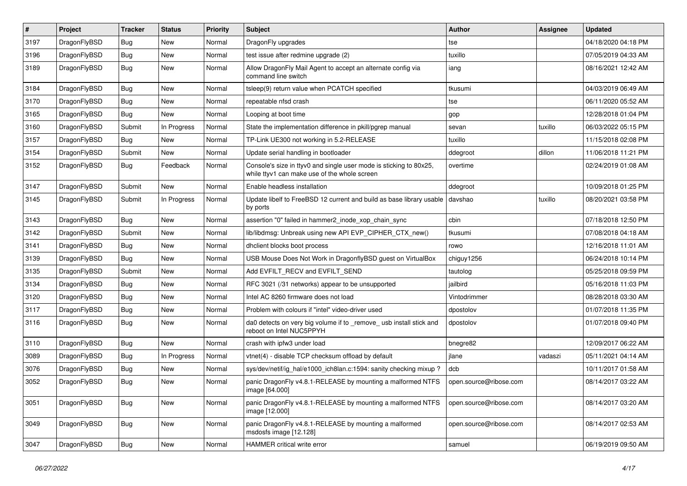| $\sharp$ | Project      | <b>Tracker</b> | <b>Status</b> | <b>Priority</b> | Subject                                                                                                            | Author                 | <b>Assignee</b> | <b>Updated</b>      |
|----------|--------------|----------------|---------------|-----------------|--------------------------------------------------------------------------------------------------------------------|------------------------|-----------------|---------------------|
| 3197     | DragonFlyBSD | <b>Bug</b>     | <b>New</b>    | Normal          | DragonFly upgrades                                                                                                 | tse                    |                 | 04/18/2020 04:18 PM |
| 3196     | DragonFlyBSD | <b>Bug</b>     | <b>New</b>    | Normal          | test issue after redmine upgrade (2)                                                                               | tuxillo                |                 | 07/05/2019 04:33 AM |
| 3189     | DragonFlyBSD | <b>Bug</b>     | New           | Normal          | Allow DragonFly Mail Agent to accept an alternate config via<br>command line switch                                | iang                   |                 | 08/16/2021 12:42 AM |
| 3184     | DragonFlyBSD | <b>Bug</b>     | New           | Normal          | tsleep(9) return value when PCATCH specified                                                                       | tkusumi                |                 | 04/03/2019 06:49 AM |
| 3170     | DragonFlyBSD | <b>Bug</b>     | New           | Normal          | repeatable nfsd crash                                                                                              | tse                    |                 | 06/11/2020 05:52 AM |
| 3165     | DragonFlyBSD | <b>Bug</b>     | <b>New</b>    | Normal          | Looping at boot time                                                                                               | gop                    |                 | 12/28/2018 01:04 PM |
| 3160     | DragonFlyBSD | Submit         | In Progress   | Normal          | State the implementation difference in pkill/pgrep manual                                                          | sevan                  | tuxillo         | 06/03/2022 05:15 PM |
| 3157     | DragonFlyBSD | Bug            | New           | Normal          | TP-Link UE300 not working in 5.2-RELEASE                                                                           | tuxillo                |                 | 11/15/2018 02:08 PM |
| 3154     | DragonFlyBSD | Submit         | New           | Normal          | Update serial handling in bootloader                                                                               | ddegroot               | dillon          | 11/06/2018 11:21 PM |
| 3152     | DragonFlyBSD | <b>Bug</b>     | Feedback      | Normal          | Console's size in ttyv0 and single user mode is sticking to 80x25,<br>while ttyv1 can make use of the whole screen | overtime               |                 | 02/24/2019 01:08 AM |
| 3147     | DragonFlyBSD | Submit         | <b>New</b>    | Normal          | Enable headless installation                                                                                       | ddegroot               |                 | 10/09/2018 01:25 PM |
| 3145     | DragonFlyBSD | Submit         | In Progress   | Normal          | Update libelf to FreeBSD 12 current and build as base library usable<br>by ports                                   | davshao                | tuxillo         | 08/20/2021 03:58 PM |
| 3143     | DragonFlyBSD | Bug            | <b>New</b>    | Normal          | assertion "0" failed in hammer2 inode xop chain sync                                                               | cbin                   |                 | 07/18/2018 12:50 PM |
| 3142     | DragonFlyBSD | Submit         | New           | Normal          | lib/libdmsg: Unbreak using new API EVP_CIPHER_CTX_new()                                                            | tkusumi                |                 | 07/08/2018 04:18 AM |
| 3141     | DragonFlyBSD | <b>Bug</b>     | <b>New</b>    | Normal          | dhclient blocks boot process                                                                                       | rowo                   |                 | 12/16/2018 11:01 AM |
| 3139     | DragonFlyBSD | Bug            | New           | Normal          | USB Mouse Does Not Work in DragonflyBSD guest on VirtualBox                                                        | chiguy1256             |                 | 06/24/2018 10:14 PM |
| 3135     | DragonFlyBSD | Submit         | <b>New</b>    | Normal          | Add EVFILT_RECV and EVFILT_SEND                                                                                    | tautolog               |                 | 05/25/2018 09:59 PM |
| 3134     | DragonFlyBSD | <b>Bug</b>     | New           | Normal          | RFC 3021 (/31 networks) appear to be unsupported                                                                   | jailbird               |                 | 05/16/2018 11:03 PM |
| 3120     | DragonFlyBSD | <b>Bug</b>     | New           | Normal          | Intel AC 8260 firmware does not load                                                                               | Vintodrimmer           |                 | 08/28/2018 03:30 AM |
| 3117     | DragonFlyBSD | <b>Bug</b>     | New           | Normal          | Problem with colours if "intel" video-driver used                                                                  | dpostolov              |                 | 01/07/2018 11:35 PM |
| 3116     | DragonFlyBSD | <b>Bug</b>     | New           | Normal          | da0 detects on very big volume if to _remove_ usb install stick and<br>reboot on Intel NUC5PPYH                    | dpostolov              |                 | 01/07/2018 09:40 PM |
| 3110     | DragonFlyBSD | <b>Bug</b>     | <b>New</b>    | Normal          | crash with ipfw3 under load                                                                                        | bnegre82               |                 | 12/09/2017 06:22 AM |
| 3089     | DragonFlyBSD | <b>Bug</b>     | In Progress   | Normal          | vtnet(4) - disable TCP checksum offload by default                                                                 | jlane                  | vadaszi         | 05/11/2021 04:14 AM |
| 3076     | DragonFlyBSD | <b>Bug</b>     | New           | Normal          | sys/dev/netif/ig_hal/e1000_ich8lan.c:1594: sanity checking mixup?                                                  | dcb                    |                 | 10/11/2017 01:58 AM |
| 3052     | DragonFlyBSD | <b>Bug</b>     | <b>New</b>    | Normal          | panic DragonFly v4.8.1-RELEASE by mounting a malformed NTFS<br>image [64.000]                                      | open.source@ribose.com |                 | 08/14/2017 03:22 AM |
| 3051     | DragonFlyBSD | <b>Bug</b>     | New           | Normal          | panic DragonFly v4.8.1-RELEASE by mounting a malformed NTFS<br>image [12.000]                                      | open.source@ribose.com |                 | 08/14/2017 03:20 AM |
| 3049     | DragonFlyBSD | <b>Bug</b>     | New           | Normal          | panic DragonFly v4.8.1-RELEASE by mounting a malformed<br>msdosfs image [12.128]                                   | open.source@ribose.com |                 | 08/14/2017 02:53 AM |
| 3047     | DragonFlyBSD | <b>Bug</b>     | New           | Normal          | HAMMER critical write error                                                                                        | samuel                 |                 | 06/19/2019 09:50 AM |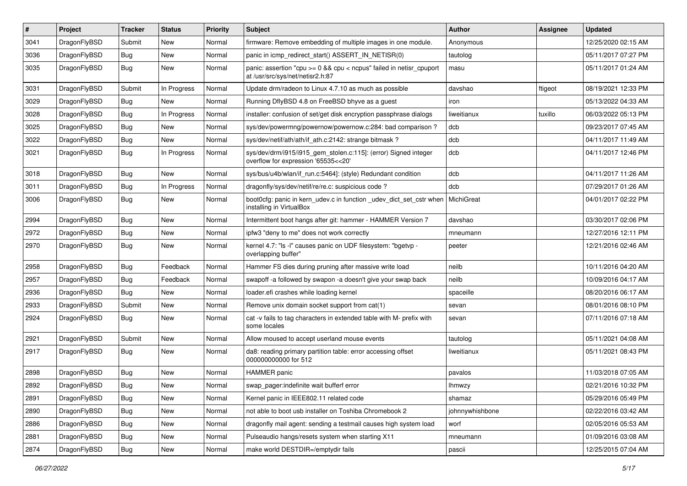| $\pmb{\#}$ | Project      | <b>Tracker</b> | <b>Status</b> | <b>Priority</b> | Subject                                                                                                 | Author            | Assignee | <b>Updated</b>      |
|------------|--------------|----------------|---------------|-----------------|---------------------------------------------------------------------------------------------------------|-------------------|----------|---------------------|
| 3041       | DragonFlyBSD | Submit         | New           | Normal          | firmware: Remove embedding of multiple images in one module.                                            | Anonymous         |          | 12/25/2020 02:15 AM |
| 3036       | DragonFlyBSD | Bug            | <b>New</b>    | Normal          | panic in icmp_redirect_start() ASSERT_IN_NETISR(0)                                                      | tautolog          |          | 05/11/2017 07:27 PM |
| 3035       | DragonFlyBSD | Bug            | New           | Normal          | panic: assertion "cpu >= 0 && cpu < ncpus" failed in netisr_cpuport<br>at /usr/src/sys/net/netisr2.h:87 | masu              |          | 05/11/2017 01:24 AM |
| 3031       | DragonFlyBSD | Submit         | In Progress   | Normal          | Update drm/radeon to Linux 4.7.10 as much as possible                                                   | davshao           | ftigeot  | 08/19/2021 12:33 PM |
| 3029       | DragonFlyBSD | <b>Bug</b>     | New           | Normal          | Running DflyBSD 4.8 on FreeBSD bhyve as a guest                                                         | iron              |          | 05/13/2022 04:33 AM |
| 3028       | DragonFlyBSD | Bug            | In Progress   | Normal          | installer: confusion of set/get disk encryption passphrase dialogs                                      | liweitianux       | tuxillo  | 06/03/2022 05:13 PM |
| 3025       | DragonFlyBSD | Bug            | New           | Normal          | sys/dev/powermng/powernow/powernow.c:284: bad comparison?                                               | dcb               |          | 09/23/2017 07:45 AM |
| 3022       | DragonFlyBSD | Bug            | New           | Normal          | sys/dev/netif/ath/ath/if_ath.c:2142: strange bitmask?                                                   | dcb               |          | 04/11/2017 11:49 AM |
| 3021       | DragonFlyBSD | <b>Bug</b>     | In Progress   | Normal          | sys/dev/drm/i915/i915_gem_stolen.c:115]: (error) Signed integer<br>overflow for expression '65535<<20'  | dcb               |          | 04/11/2017 12:46 PM |
| 3018       | DragonFlyBSD | <b>Bug</b>     | New           | Normal          | sys/bus/u4b/wlan/if_run.c:5464]: (style) Redundant condition                                            | dcb               |          | 04/11/2017 11:26 AM |
| 3011       | DragonFlyBSD | <b>Bug</b>     | In Progress   | Normal          | dragonfly/sys/dev/netif/re/re.c: suspicious code?                                                       | dcb               |          | 07/29/2017 01:26 AM |
| 3006       | DragonFlyBSD | Bug            | New           | Normal          | boot0cfg: panic in kern_udev.c in function _udev_dict_set_cstr when<br>installing in VirtualBox         | <b>MichiGreat</b> |          | 04/01/2017 02:22 PM |
| 2994       | DragonFlyBSD | Bug            | <b>New</b>    | Normal          | Intermittent boot hangs after git: hammer - HAMMER Version 7                                            | davshao           |          | 03/30/2017 02:06 PM |
| 2972       | DragonFlyBSD | Bug            | <b>New</b>    | Normal          | ipfw3 "deny to me" does not work correctly                                                              | mneumann          |          | 12/27/2016 12:11 PM |
| 2970       | DragonFlyBSD | Bug            | New           | Normal          | kernel 4.7: "Is -I" causes panic on UDF filesystem: "bgetvp -<br>overlapping buffer"                    | peeter            |          | 12/21/2016 02:46 AM |
| 2958       | DragonFlyBSD | Bug            | Feedback      | Normal          | Hammer FS dies during pruning after massive write load                                                  | neilb             |          | 10/11/2016 04:20 AM |
| 2957       | DragonFlyBSD | Bug            | Feedback      | Normal          | swapoff -a followed by swapon -a doesn't give your swap back                                            | neilb             |          | 10/09/2016 04:17 AM |
| 2936       | DragonFlyBSD | Bug            | New           | Normal          | loader.efi crashes while loading kernel                                                                 | spaceille         |          | 08/20/2016 06:17 AM |
| 2933       | DragonFlyBSD | Submit         | New           | Normal          | Remove unix domain socket support from cat(1)                                                           | sevan             |          | 08/01/2016 08:10 PM |
| 2924       | DragonFlyBSD | Bug            | New           | Normal          | cat -v fails to tag characters in extended table with M- prefix with<br>some locales                    | sevan             |          | 07/11/2016 07:18 AM |
| 2921       | DragonFlyBSD | Submit         | <b>New</b>    | Normal          | Allow moused to accept userland mouse events                                                            | tautolog          |          | 05/11/2021 04:08 AM |
| 2917       | DragonFlyBSD | Bug            | New           | Normal          | da8: reading primary partition table: error accessing offset<br>000000000000 for 512                    | liweitianux       |          | 05/11/2021 08:43 PM |
| 2898       | DragonFlyBSD | <b>Bug</b>     | <b>New</b>    | Normal          | <b>HAMMER</b> panic                                                                                     | pavalos           |          | 11/03/2018 07:05 AM |
| 2892       | DragonFlyBSD | Bug            | New           | Normal          | swap pager: indefinite wait bufferf error                                                               | <b>Ihmwzy</b>     |          | 02/21/2016 10:32 PM |
| 2891       | DragonFlyBSD | Bug            | New           | Normal          | Kernel panic in IEEE802.11 related code                                                                 | shamaz            |          | 05/29/2016 05:49 PM |
| 2890       | DragonFlyBSD | <b>Bug</b>     | New           | Normal          | not able to boot usb installer on Toshiba Chromebook 2                                                  | johnnywhishbone   |          | 02/22/2016 03:42 AM |
| 2886       | DragonFlyBSD | <b>Bug</b>     | New           | Normal          | dragonfly mail agent: sending a testmail causes high system load                                        | worf              |          | 02/05/2016 05:53 AM |
| 2881       | DragonFlyBSD | Bug            | New           | Normal          | Pulseaudio hangs/resets system when starting X11                                                        | mneumann          |          | 01/09/2016 03:08 AM |
| 2874       | DragonFlyBSD | Bug            | New           | Normal          | make world DESTDIR=/emptydir fails                                                                      | pascii            |          | 12/25/2015 07:04 AM |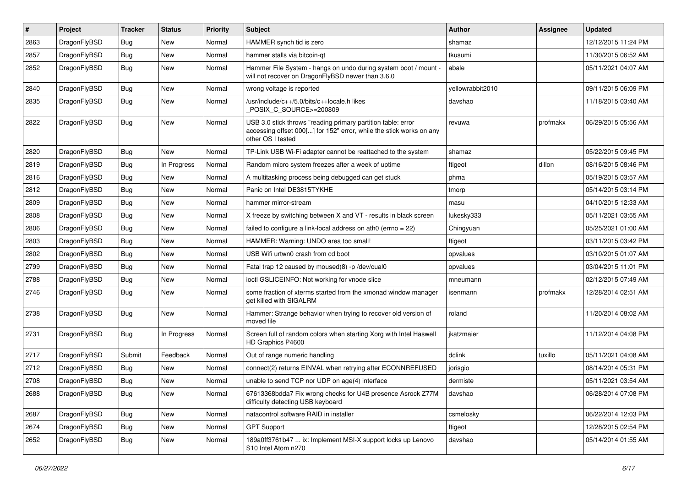| $\sharp$ | Project      | <b>Tracker</b> | <b>Status</b> | <b>Priority</b> | Subject                                                                                                                                                  | Author           | <b>Assignee</b> | <b>Updated</b>      |
|----------|--------------|----------------|---------------|-----------------|----------------------------------------------------------------------------------------------------------------------------------------------------------|------------------|-----------------|---------------------|
| 2863     | DragonFlyBSD | <b>Bug</b>     | <b>New</b>    | Normal          | HAMMER synch tid is zero                                                                                                                                 | shamaz           |                 | 12/12/2015 11:24 PM |
| 2857     | DragonFlyBSD | <b>Bug</b>     | New           | Normal          | hammer stalls via bitcoin-gt                                                                                                                             | tkusumi          |                 | 11/30/2015 06:52 AM |
| 2852     | DragonFlyBSD | <b>Bug</b>     | <b>New</b>    | Normal          | Hammer File System - hangs on undo during system boot / mount -<br>will not recover on DragonFlyBSD newer than 3.6.0                                     | abale            |                 | 05/11/2021 04:07 AM |
| 2840     | DragonFlyBSD | Bug            | New           | Normal          | wrong voltage is reported                                                                                                                                | yellowrabbit2010 |                 | 09/11/2015 06:09 PM |
| 2835     | DragonFlyBSD | Bug            | <b>New</b>    | Normal          | /usr/include/c++/5.0/bits/c++locale.h likes<br>POSIX_C_SOURCE>=200809                                                                                    | davshao          |                 | 11/18/2015 03:40 AM |
| 2822     | DragonFlyBSD | Bug            | <b>New</b>    | Normal          | USB 3.0 stick throws "reading primary partition table: error<br>accessing offset 000[] for 152" error, while the stick works on any<br>other OS I tested | revuwa           | profmakx        | 06/29/2015 05:56 AM |
| 2820     | DragonFlyBSD | <b>Bug</b>     | <b>New</b>    | Normal          | TP-Link USB Wi-Fi adapter cannot be reattached to the system                                                                                             | shamaz           |                 | 05/22/2015 09:45 PM |
| 2819     | DragonFlyBSD | <b>Bug</b>     | In Progress   | Normal          | Random micro system freezes after a week of uptime                                                                                                       | ftigeot          | dillon          | 08/16/2015 08:46 PM |
| 2816     | DragonFlyBSD | Bug            | New           | Normal          | A multitasking process being debugged can get stuck                                                                                                      | phma             |                 | 05/19/2015 03:57 AM |
| 2812     | DragonFlyBSD | <b>Bug</b>     | New           | Normal          | Panic on Intel DE3815TYKHE                                                                                                                               | tmorp            |                 | 05/14/2015 03:14 PM |
| 2809     | DragonFlyBSD | Bug            | <b>New</b>    | Normal          | hammer mirror-stream                                                                                                                                     | masu             |                 | 04/10/2015 12:33 AM |
| 2808     | DragonFlyBSD | <b>Bug</b>     | New           | Normal          | X freeze by switching between X and VT - results in black screen                                                                                         | lukesky333       |                 | 05/11/2021 03:55 AM |
| 2806     | DragonFlyBSD | <b>Bug</b>     | New           | Normal          | failed to configure a link-local address on ath0 (errno = 22)                                                                                            | Chingyuan        |                 | 05/25/2021 01:00 AM |
| 2803     | DragonFlyBSD | Bug            | <b>New</b>    | Normal          | HAMMER: Warning: UNDO area too small!                                                                                                                    | ftigeot          |                 | 03/11/2015 03:42 PM |
| 2802     | DragonFlyBSD | <b>Bug</b>     | New           | Normal          | USB Wifi urtwn0 crash from cd boot                                                                                                                       | opvalues         |                 | 03/10/2015 01:07 AM |
| 2799     | DragonFlyBSD | Bug            | New           | Normal          | Fatal trap 12 caused by moused(8) -p /dev/cual0                                                                                                          | opvalues         |                 | 03/04/2015 11:01 PM |
| 2788     | DragonFlyBSD | <b>Bug</b>     | <b>New</b>    | Normal          | ioctl GSLICEINFO: Not working for vnode slice                                                                                                            | mneumann         |                 | 02/12/2015 07:49 AM |
| 2746     | DragonFlyBSD | <b>Bug</b>     | <b>New</b>    | Normal          | some fraction of xterms started from the xmonad window manager<br>get killed with SIGALRM                                                                | isenmann         | profmakx        | 12/28/2014 02:51 AM |
| 2738     | DragonFlyBSD | Bug            | <b>New</b>    | Normal          | Hammer: Strange behavior when trying to recover old version of<br>moved file                                                                             | roland           |                 | 11/20/2014 08:02 AM |
| 2731     | DragonFlyBSD | <b>Bug</b>     | In Progress   | Normal          | Screen full of random colors when starting Xorg with Intel Haswell<br>HD Graphics P4600                                                                  | ikatzmaier       |                 | 11/12/2014 04:08 PM |
| 2717     | DragonFlyBSD | Submit         | Feedback      | Normal          | Out of range numeric handling                                                                                                                            | dclink           | tuxillo         | 05/11/2021 04:08 AM |
| 2712     | DragonFlyBSD | Bug            | New           | Normal          | connect(2) returns EINVAL when retrying after ECONNREFUSED                                                                                               | jorisgio         |                 | 08/14/2014 05:31 PM |
| 2708     | DragonFlyBSD | Bug            | <b>New</b>    | Normal          | unable to send TCP nor UDP on age(4) interface                                                                                                           | dermiste         |                 | 05/11/2021 03:54 AM |
| 2688     | DragonFlyBSD | <b>Bug</b>     | New           | Normal          | 67613368bdda7 Fix wrong checks for U4B presence Asrock Z77M<br>difficulty detecting USB keyboard                                                         | davshao          |                 | 06/28/2014 07:08 PM |
| 2687     | DragonFlyBSD | <b>Bug</b>     | <b>New</b>    | Normal          | natacontrol software RAID in installer                                                                                                                   | csmelosky        |                 | 06/22/2014 12:03 PM |
| 2674     | DragonFlyBSD | Bug            | <b>New</b>    | Normal          | <b>GPT Support</b>                                                                                                                                       | ftigeot          |                 | 12/28/2015 02:54 PM |
| 2652     | DragonFlyBSD | <b>Bug</b>     | New           | Normal          | 189a0ff3761b47  ix: Implement MSI-X support locks up Lenovo<br>S10 Intel Atom n270                                                                       | davshao          |                 | 05/14/2014 01:55 AM |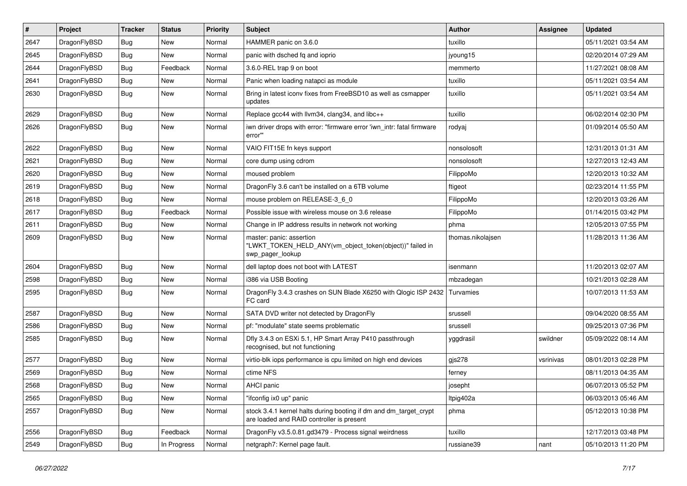| #    | Project      | <b>Tracker</b> | <b>Status</b> | <b>Priority</b> | <b>Subject</b>                                                                                                 | <b>Author</b>     | <b>Assignee</b> | <b>Updated</b>      |
|------|--------------|----------------|---------------|-----------------|----------------------------------------------------------------------------------------------------------------|-------------------|-----------------|---------------------|
| 2647 | DragonFlyBSD | Bug            | <b>New</b>    | Normal          | HAMMER panic on 3.6.0                                                                                          | tuxillo           |                 | 05/11/2021 03:54 AM |
| 2645 | DragonFlyBSD | <b>Bug</b>     | New           | Normal          | panic with dsched fq and ioprio                                                                                | jyoung15          |                 | 02/20/2014 07:29 AM |
| 2644 | DragonFlyBSD | <b>Bug</b>     | Feedback      | Normal          | 3.6.0-REL trap 9 on boot                                                                                       | memmerto          |                 | 11/27/2021 08:08 AM |
| 2641 | DragonFlyBSD | Bug            | <b>New</b>    | Normal          | Panic when loading natapci as module                                                                           | tuxillo           |                 | 05/11/2021 03:54 AM |
| 2630 | DragonFlyBSD | Bug            | New           | Normal          | Bring in latest iconv fixes from FreeBSD10 as well as csmapper<br>updates                                      | tuxillo           |                 | 05/11/2021 03:54 AM |
| 2629 | DragonFlyBSD | Bug            | New           | Normal          | Replace gcc44 with llvm34, clang34, and libc++                                                                 | tuxillo           |                 | 06/02/2014 02:30 PM |
| 2626 | DragonFlyBSD | Bug            | <b>New</b>    | Normal          | iwn driver drops with error: "firmware error 'iwn_intr: fatal firmware<br>error"                               | rodyaj            |                 | 01/09/2014 05:50 AM |
| 2622 | DragonFlyBSD | <b>Bug</b>     | <b>New</b>    | Normal          | VAIO FIT15E fn keys support                                                                                    | nonsolosoft       |                 | 12/31/2013 01:31 AM |
| 2621 | DragonFlyBSD | <b>Bug</b>     | <b>New</b>    | Normal          | core dump using cdrom                                                                                          | nonsolosoft       |                 | 12/27/2013 12:43 AM |
| 2620 | DragonFlyBSD | Bug            | <b>New</b>    | Normal          | moused problem                                                                                                 | FilippoMo         |                 | 12/20/2013 10:32 AM |
| 2619 | DragonFlyBSD | <b>Bug</b>     | <b>New</b>    | Normal          | DragonFly 3.6 can't be installed on a 6TB volume                                                               | ftigeot           |                 | 02/23/2014 11:55 PM |
| 2618 | DragonFlyBSD | <b>Bug</b>     | <b>New</b>    | Normal          | mouse problem on RELEASE-3_6_0                                                                                 | FilippoMo         |                 | 12/20/2013 03:26 AM |
| 2617 | DragonFlyBSD | <b>Bug</b>     | Feedback      | Normal          | Possible issue with wireless mouse on 3.6 release                                                              | FilippoMo         |                 | 01/14/2015 03:42 PM |
| 2611 | DragonFlyBSD | <b>Bug</b>     | <b>New</b>    | Normal          | Change in IP address results in network not working                                                            | phma              |                 | 12/05/2013 07:55 PM |
| 2609 | DragonFlyBSD | Bug            | New           | Normal          | master: panic: assertion<br>"LWKT TOKEN HELD ANY(vm object token(object))" failed in<br>swp_pager_lookup       | thomas.nikolajsen |                 | 11/28/2013 11:36 AM |
| 2604 | DragonFlyBSD | Bug            | <b>New</b>    | Normal          | dell laptop does not boot with LATEST                                                                          | isenmann          |                 | 11/20/2013 02:07 AM |
| 2598 | DragonFlyBSD | <b>Bug</b>     | <b>New</b>    | Normal          | i386 via USB Booting                                                                                           | mbzadegan         |                 | 10/21/2013 02:28 AM |
| 2595 | DragonFlyBSD | Bug            | <b>New</b>    | Normal          | DragonFly 3.4.3 crashes on SUN Blade X6250 with Qlogic ISP 2432<br>FC card                                     | Turvamies         |                 | 10/07/2013 11:53 AM |
| 2587 | DragonFlyBSD | <b>Bug</b>     | <b>New</b>    | Normal          | SATA DVD writer not detected by DragonFly                                                                      | srussell          |                 | 09/04/2020 08:55 AM |
| 2586 | DragonFlyBSD | <b>Bug</b>     | <b>New</b>    | Normal          | pf: "modulate" state seems problematic                                                                         | srussell          |                 | 09/25/2013 07:36 PM |
| 2585 | DragonFlyBSD | Bug            | <b>New</b>    | Normal          | Dfly 3.4.3 on ESXi 5.1, HP Smart Array P410 passthrough<br>recognised, but not functioning                     | yggdrasil         | swildner        | 05/09/2022 08:14 AM |
| 2577 | DragonFlyBSD | Bug            | <b>New</b>    | Normal          | virtio-blk iops performance is cpu limited on high end devices                                                 | gis278            | vsrinivas       | 08/01/2013 02:28 PM |
| 2569 | DragonFlyBSD | <b>Bug</b>     | <b>New</b>    | Normal          | ctime NFS                                                                                                      | ferney            |                 | 08/11/2013 04:35 AM |
| 2568 | DragonFlyBSD | <b>Bug</b>     | New           | Normal          | AHCI panic                                                                                                     | josepht           |                 | 06/07/2013 05:52 PM |
| 2565 | DragonFlyBSD | <b>Bug</b>     | New           | Normal          | "ifconfig ix0 up" panic                                                                                        | ltpig402a         |                 | 06/03/2013 05:46 AM |
| 2557 | DragonFlyBSD | <b>Bug</b>     | New           | Normal          | stock 3.4.1 kernel halts during booting if dm and dm_target_crypt<br>are loaded and RAID controller is present | phma              |                 | 05/12/2013 10:38 PM |
| 2556 | DragonFlyBSD | <b>Bug</b>     | Feedback      | Normal          | DragonFly v3.5.0.81.gd3479 - Process signal weirdness                                                          | tuxillo           |                 | 12/17/2013 03:48 PM |
| 2549 | DragonFlyBSD | Bug            | In Progress   | Normal          | netgraph7: Kernel page fault.                                                                                  | russiane39        | nant            | 05/10/2013 11:20 PM |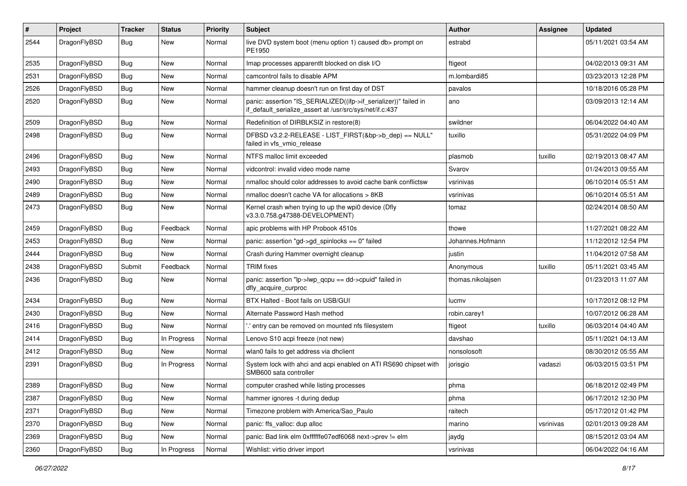| $\pmb{\#}$ | Project      | <b>Tracker</b> | <b>Status</b> | <b>Priority</b> | Subject                                                                                                                      | <b>Author</b>     | Assignee  | <b>Updated</b>      |
|------------|--------------|----------------|---------------|-----------------|------------------------------------------------------------------------------------------------------------------------------|-------------------|-----------|---------------------|
| 2544       | DragonFlyBSD | Bug            | New           | Normal          | live DVD system boot (menu option 1) caused db> prompt on<br>PE1950                                                          | estrabd           |           | 05/11/2021 03:54 AM |
| 2535       | DragonFlyBSD | <b>Bug</b>     | <b>New</b>    | Normal          | Imap processes apparentit blocked on disk I/O                                                                                | ftigeot           |           | 04/02/2013 09:31 AM |
| 2531       | DragonFlyBSD | Bug            | <b>New</b>    | Normal          | camcontrol fails to disable APM                                                                                              | m.lombardi85      |           | 03/23/2013 12:28 PM |
| 2526       | DragonFlyBSD | <b>Bug</b>     | <b>New</b>    | Normal          | hammer cleanup doesn't run on first day of DST                                                                               | pavalos           |           | 10/18/2016 05:28 PM |
| 2520       | DragonFlyBSD | Bug            | New           | Normal          | panic: assertion "IS_SERIALIZED((ifp->if_serializer))" failed in<br>if_default_serialize_assert at /usr/src/sys/net/if.c:437 | ano               |           | 03/09/2013 12:14 AM |
| 2509       | DragonFlyBSD | Bug            | <b>New</b>    | Normal          | Redefinition of DIRBLKSIZ in restore(8)                                                                                      | swildner          |           | 06/04/2022 04:40 AM |
| 2498       | DragonFlyBSD | Bug            | New           | Normal          | DFBSD v3.2.2-RELEASE - LIST FIRST(&bp->b dep) == NULL"<br>failed in vfs_vmio_release                                         | tuxillo           |           | 05/31/2022 04:09 PM |
| 2496       | DragonFlyBSD | <b>Bug</b>     | <b>New</b>    | Normal          | NTFS malloc limit exceeded                                                                                                   | plasmob           | tuxillo   | 02/19/2013 08:47 AM |
| 2493       | DragonFlyBSD | Bug            | <b>New</b>    | Normal          | vidcontrol: invalid video mode name                                                                                          | Svarov            |           | 01/24/2013 09:55 AM |
| 2490       | DragonFlyBSD | Bug            | <b>New</b>    | Normal          | nmalloc should color addresses to avoid cache bank conflictsw                                                                | vsrinivas         |           | 06/10/2014 05:51 AM |
| 2489       | DragonFlyBSD | <b>Bug</b>     | <b>New</b>    | Normal          | nmalloc doesn't cache VA for allocations > 8KB                                                                               | vsrinivas         |           | 06/10/2014 05:51 AM |
| 2473       | DragonFlyBSD | Bug            | New           | Normal          | Kernel crash when trying to up the wpi0 device (Dfly<br>v3.3.0.758.g47388-DEVELOPMENT)                                       | tomaz             |           | 02/24/2014 08:50 AM |
| 2459       | DragonFlyBSD | Bug            | Feedback      | Normal          | apic problems with HP Probook 4510s                                                                                          | thowe             |           | 11/27/2021 08:22 AM |
| 2453       | DragonFlyBSD | Bug            | <b>New</b>    | Normal          | panic: assertion "gd->gd_spinlocks == 0" failed                                                                              | Johannes.Hofmann  |           | 11/12/2012 12:54 PM |
| 2444       | DragonFlyBSD | <b>Bug</b>     | New           | Normal          | Crash during Hammer overnight cleanup                                                                                        | iustin            |           | 11/04/2012 07:58 AM |
| 2438       | DragonFlyBSD | Submit         | Feedback      | Normal          | <b>TRIM</b> fixes                                                                                                            | Anonymous         | tuxillo   | 05/11/2021 03:45 AM |
| 2436       | DragonFlyBSD | Bug            | New           | Normal          | panic: assertion "lp->lwp_qcpu == dd->cpuid" failed in<br>dfly_acquire_curproc                                               | thomas.nikolajsen |           | 01/23/2013 11:07 AM |
| 2434       | DragonFlyBSD | Bug            | <b>New</b>    | Normal          | BTX Halted - Boot fails on USB/GUI                                                                                           | lucmv             |           | 10/17/2012 08:12 PM |
| 2430       | DragonFlyBSD | Bug            | New           | Normal          | Alternate Password Hash method                                                                                               | robin.carey1      |           | 10/07/2012 06:28 AM |
| 2416       | DragonFlyBSD | Bug            | New           | Normal          | .' entry can be removed on mounted nfs filesystem                                                                            | ftigeot           | tuxillo   | 06/03/2014 04:40 AM |
| 2414       | DragonFlyBSD | Bug            | In Progress   | Normal          | Lenovo S10 acpi freeze (not new)                                                                                             | davshao           |           | 05/11/2021 04:13 AM |
| 2412       | DragonFlyBSD | Bug            | New           | Normal          | wlan0 fails to get address via dhclient                                                                                      | nonsolosoft       |           | 08/30/2012 05:55 AM |
| 2391       | DragonFlyBSD | Bug            | In Progress   | Normal          | System lock with ahci and acpi enabled on ATI RS690 chipset with<br>SMB600 sata controller                                   | jorisgio          | vadaszi   | 06/03/2015 03:51 PM |
| 2389       | DragonFlyBSD | Bug            | New           | Normal          | computer crashed while listing processes                                                                                     | phma              |           | 06/18/2012 02:49 PM |
| 2387       | DragonFlyBSD | <b>Bug</b>     | New           | Normal          | hammer ignores -t during dedup                                                                                               | phma              |           | 06/17/2012 12:30 PM |
| 2371       | DragonFlyBSD | <b>Bug</b>     | New           | Normal          | Timezone problem with America/Sao Paulo                                                                                      | raitech           |           | 05/17/2012 01:42 PM |
| 2370       | DragonFlyBSD | <b>Bug</b>     | New           | Normal          | panic: ffs_valloc: dup alloc                                                                                                 | marino            | vsrinivas | 02/01/2013 09:28 AM |
| 2369       | DragonFlyBSD | Bug            | New           | Normal          | panic: Bad link elm 0xffffffe07edf6068 next->prev != elm                                                                     | jaydg             |           | 08/15/2012 03:04 AM |
| 2360       | DragonFlyBSD | Bug            | In Progress   | Normal          | Wishlist: virtio driver import                                                                                               | vsrinivas         |           | 06/04/2022 04:16 AM |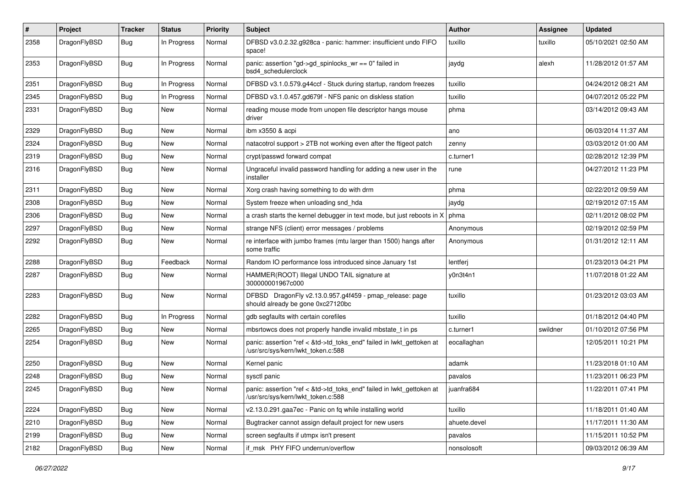| $\#$ | Project      | <b>Tracker</b> | <b>Status</b> | <b>Priority</b> | <b>Subject</b>                                                                                             | <b>Author</b> | Assignee | <b>Updated</b>      |
|------|--------------|----------------|---------------|-----------------|------------------------------------------------------------------------------------------------------------|---------------|----------|---------------------|
| 2358 | DragonFlyBSD | Bug            | In Progress   | Normal          | DFBSD v3.0.2.32.g928ca - panic: hammer: insufficient undo FIFO<br>space!                                   | tuxillo       | tuxillo  | 05/10/2021 02:50 AM |
| 2353 | DragonFlyBSD | Bug            | In Progress   | Normal          | panic: assertion "gd->gd_spinlocks_wr == 0" failed in<br>bsd4 schedulerclock                               | jaydg         | alexh    | 11/28/2012 01:57 AM |
| 2351 | DragonFlyBSD | Bug            | In Progress   | Normal          | DFBSD v3.1.0.579.g44ccf - Stuck during startup, random freezes                                             | tuxillo       |          | 04/24/2012 08:21 AM |
| 2345 | DragonFlyBSD | <b>Bug</b>     | In Progress   | Normal          | DFBSD v3.1.0.457.gd679f - NFS panic on diskless station                                                    | tuxillo       |          | 04/07/2012 05:22 PM |
| 2331 | DragonFlyBSD | Bug            | <b>New</b>    | Normal          | reading mouse mode from unopen file descriptor hangs mouse<br>driver                                       | phma          |          | 03/14/2012 09:43 AM |
| 2329 | DragonFlyBSD | Bug            | <b>New</b>    | Normal          | ibm x3550 & acpi                                                                                           | ano           |          | 06/03/2014 11:37 AM |
| 2324 | DragonFlyBSD | <b>Bug</b>     | <b>New</b>    | Normal          | natacotrol support > 2TB not working even after the ftigeot patch                                          | zenny         |          | 03/03/2012 01:00 AM |
| 2319 | DragonFlyBSD | <b>Bug</b>     | New           | Normal          | crypt/passwd forward compat                                                                                | c.turner1     |          | 02/28/2012 12:39 PM |
| 2316 | DragonFlyBSD | <b>Bug</b>     | <b>New</b>    | Normal          | Ungraceful invalid password handling for adding a new user in the<br>installer                             | rune          |          | 04/27/2012 11:23 PM |
| 2311 | DragonFlyBSD | Bug            | <b>New</b>    | Normal          | Xorg crash having something to do with drm                                                                 | phma          |          | 02/22/2012 09:59 AM |
| 2308 | DragonFlyBSD | <b>Bug</b>     | <b>New</b>    | Normal          | System freeze when unloading snd hda                                                                       | jaydg         |          | 02/19/2012 07:15 AM |
| 2306 | DragonFlyBSD | Bug            | New           | Normal          | a crash starts the kernel debugger in text mode, but just reboots in X                                     | phma          |          | 02/11/2012 08:02 PM |
| 2297 | DragonFlyBSD | <b>Bug</b>     | <b>New</b>    | Normal          | strange NFS (client) error messages / problems                                                             | Anonymous     |          | 02/19/2012 02:59 PM |
| 2292 | DragonFlyBSD | <b>Bug</b>     | <b>New</b>    | Normal          | re interface with jumbo frames (mtu larger than 1500) hangs after<br>some traffic                          | Anonymous     |          | 01/31/2012 12:11 AM |
| 2288 | DragonFlyBSD | Bug            | Feedback      | Normal          | Random IO performance loss introduced since January 1st                                                    | lentferj      |          | 01/23/2013 04:21 PM |
| 2287 | DragonFlyBSD | Bug            | <b>New</b>    | Normal          | HAMMER(ROOT) Illegal UNDO TAIL signature at<br>300000001967c000                                            | y0n3t4n1      |          | 11/07/2018 01:22 AM |
| 2283 | DragonFlyBSD | Bug            | <b>New</b>    | Normal          | DFBSD DragonFly v2.13.0.957.g4f459 - pmap_release: page<br>should already be gone 0xc27120bc               | tuxillo       |          | 01/23/2012 03:03 AM |
| 2282 | DragonFlyBSD | Bug            | In Progress   | Normal          | gdb segfaults with certain corefiles                                                                       | tuxillo       |          | 01/18/2012 04:40 PM |
| 2265 | DragonFlyBSD | <b>Bug</b>     | <b>New</b>    | Normal          | mbsrtowcs does not properly handle invalid mbstate_t in ps                                                 | c.turner1     | swildner | 01/10/2012 07:56 PM |
| 2254 | DragonFlyBSD | <b>Bug</b>     | <b>New</b>    | Normal          | panic: assertion "ref < &td->td_toks_end" failed in lwkt_gettoken at<br>/usr/src/sys/kern/lwkt_token.c:588 | eocallaghan   |          | 12/05/2011 10:21 PM |
| 2250 | DragonFlyBSD | Bug            | <b>New</b>    | Normal          | Kernel panic                                                                                               | adamk         |          | 11/23/2018 01:10 AM |
| 2248 | DragonFlyBSD | Bug            | New           | Normal          | sysctl panic                                                                                               | pavalos       |          | 11/23/2011 06:23 PM |
| 2245 | DragonFlyBSD | <b>Bug</b>     | New           | Normal          | panic: assertion "ref < &td->td_toks_end" failed in lwkt_gettoken at<br>/usr/src/sys/kern/lwkt_token.c:588 | juanfra684    |          | 11/22/2011 07:41 PM |
| 2224 | DragonFlyBSD | <b>Bug</b>     | New           | Normal          | v2.13.0.291.gaa7ec - Panic on fq while installing world                                                    | tuxillo       |          | 11/18/2011 01:40 AM |
| 2210 | DragonFlyBSD | <b>Bug</b>     | New           | Normal          | Bugtracker cannot assign default project for new users                                                     | ahuete.devel  |          | 11/17/2011 11:30 AM |
| 2199 | DragonFlyBSD | <b>Bug</b>     | New           | Normal          | screen segfaults if utmpx isn't present                                                                    | pavalos       |          | 11/15/2011 10:52 PM |
| 2182 | DragonFlyBSD | <b>Bug</b>     | New           | Normal          | if_msk PHY FIFO underrun/overflow                                                                          | nonsolosoft   |          | 09/03/2012 06:39 AM |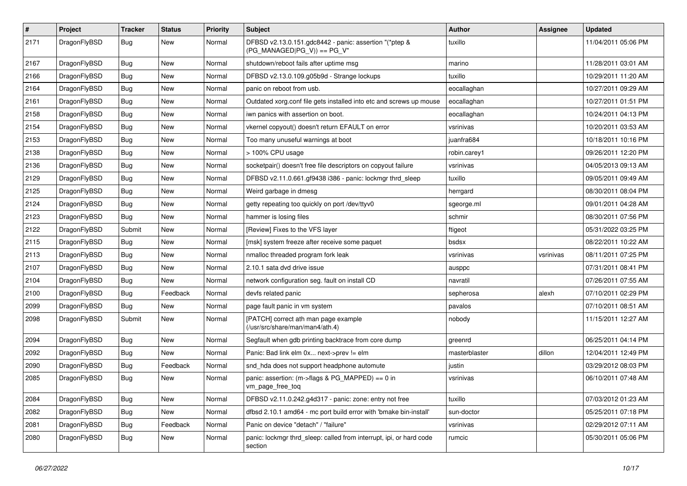| $\sharp$ | Project      | <b>Tracker</b> | <b>Status</b> | <b>Priority</b> | Subject                                                                                 | Author        | Assignee  | <b>Updated</b>      |
|----------|--------------|----------------|---------------|-----------------|-----------------------------------------------------------------------------------------|---------------|-----------|---------------------|
| 2171     | DragonFlyBSD | Bug            | New           | Normal          | DFBSD v2.13.0.151.gdc8442 - panic: assertion "(*ptep &<br>$(PG$ MANAGED PG_V)) == PG_V" | tuxillo       |           | 11/04/2011 05:06 PM |
| 2167     | DragonFlyBSD | <b>Bug</b>     | New           | Normal          | shutdown/reboot fails after uptime msg                                                  | marino        |           | 11/28/2011 03:01 AM |
| 2166     | DragonFlyBSD | <b>Bug</b>     | New           | Normal          | DFBSD v2.13.0.109.g05b9d - Strange lockups                                              | tuxillo       |           | 10/29/2011 11:20 AM |
| 2164     | DragonFlyBSD | <b>Bug</b>     | New           | Normal          | panic on reboot from usb.                                                               | eocallaghan   |           | 10/27/2011 09:29 AM |
| 2161     | DragonFlyBSD | <b>Bug</b>     | <b>New</b>    | Normal          | Outdated xorg.conf file gets installed into etc and screws up mouse                     | eocallaghan   |           | 10/27/2011 01:51 PM |
| 2158     | DragonFlyBSD | Bug            | <b>New</b>    | Normal          | iwn panics with assertion on boot.                                                      | eocallaghan   |           | 10/24/2011 04:13 PM |
| 2154     | DragonFlyBSD | <b>Bug</b>     | <b>New</b>    | Normal          | vkernel copyout() doesn't return EFAULT on error                                        | vsrinivas     |           | 10/20/2011 03:53 AM |
| 2153     | DragonFlyBSD | <b>Bug</b>     | New           | Normal          | Too many unuseful warnings at boot                                                      | juanfra684    |           | 10/18/2011 10:16 PM |
| 2138     | DragonFlyBSD | Bug            | <b>New</b>    | Normal          | > 100% CPU usage                                                                        | robin.carey1  |           | 09/26/2011 12:20 PM |
| 2136     | DragonFlyBSD | <b>Bug</b>     | New           | Normal          | socketpair() doesn't free file descriptors on copyout failure                           | vsrinivas     |           | 04/05/2013 09:13 AM |
| 2129     | DragonFlyBSD | <b>Bug</b>     | New           | Normal          | DFBSD v2.11.0.661.gf9438 i386 - panic: lockmgr thrd_sleep                               | tuxillo       |           | 09/05/2011 09:49 AM |
| 2125     | DragonFlyBSD | Bug            | New           | Normal          | Weird garbage in dmesg                                                                  | herrgard      |           | 08/30/2011 08:04 PM |
| 2124     | DragonFlyBSD | <b>Bug</b>     | New           | Normal          | getty repeating too quickly on port /dev/ttyv0                                          | sgeorge.ml    |           | 09/01/2011 04:28 AM |
| 2123     | DragonFlyBSD | Bug            | New           | Normal          | hammer is losing files                                                                  | schmir        |           | 08/30/2011 07:56 PM |
| 2122     | DragonFlyBSD | Submit         | New           | Normal          | [Review] Fixes to the VFS layer                                                         | ftigeot       |           | 05/31/2022 03:25 PM |
| 2115     | DragonFlyBSD | <b>Bug</b>     | New           | Normal          | [msk] system freeze after receive some paquet                                           | bsdsx         |           | 08/22/2011 10:22 AM |
| 2113     | DragonFlyBSD | <b>Bug</b>     | New           | Normal          | nmalloc threaded program fork leak                                                      | vsrinivas     | vsrinivas | 08/11/2011 07:25 PM |
| 2107     | DragonFlyBSD | <b>Bug</b>     | <b>New</b>    | Normal          | 2.10.1 sata dvd drive issue                                                             | ausppc        |           | 07/31/2011 08:41 PM |
| 2104     | DragonFlyBSD | Bug            | <b>New</b>    | Normal          | network configuration seg. fault on install CD                                          | navratil      |           | 07/26/2011 07:55 AM |
| 2100     | DragonFlyBSD | <b>Bug</b>     | Feedback      | Normal          | devfs related panic                                                                     | sepherosa     | alexh     | 07/10/2011 02:29 PM |
| 2099     | DragonFlyBSD | <b>Bug</b>     | New           | Normal          | page fault panic in vm system                                                           | pavalos       |           | 07/10/2011 08:51 AM |
| 2098     | DragonFlyBSD | Submit         | New           | Normal          | [PATCH] correct ath man page example<br>(/usr/src/share/man/man4/ath.4)                 | nobody        |           | 11/15/2011 12:27 AM |
| 2094     | DragonFlyBSD | Bug            | <b>New</b>    | Normal          | Segfault when gdb printing backtrace from core dump                                     | greenrd       |           | 06/25/2011 04:14 PM |
| 2092     | DragonFlyBSD | Bug            | New           | Normal          | Panic: Bad link elm 0x next->prev != elm                                                | masterblaster | dillon    | 12/04/2011 12:49 PM |
| 2090     | DragonFlyBSD | <b>Bug</b>     | Feedback      | Normal          | snd_hda does not support headphone automute                                             | justin        |           | 03/29/2012 08:03 PM |
| 2085     | DragonFlyBSD | Bug            | New           | Normal          | panic: assertion: (m->flags & PG_MAPPED) == 0 in<br>vm_page_free_toq                    | vsrinivas     |           | 06/10/2011 07:48 AM |
| 2084     | DragonFlyBSD | Bug            | <b>New</b>    | Normal          | DFBSD v2.11.0.242.g4d317 - panic: zone: entry not free                                  | tuxillo       |           | 07/03/2012 01:23 AM |
| 2082     | DragonFlyBSD | <b>Bug</b>     | New           | Normal          | dfbsd 2.10.1 amd64 - mc port build error with 'bmake bin-install'                       | sun-doctor    |           | 05/25/2011 07:18 PM |
| 2081     | DragonFlyBSD | <b>Bug</b>     | Feedback      | Normal          | Panic on device "detach" / "failure"                                                    | vsrinivas     |           | 02/29/2012 07:11 AM |
| 2080     | DragonFlyBSD | <b>Bug</b>     | New           | Normal          | panic: lockmgr thrd_sleep: called from interrupt, ipi, or hard code<br>section          | rumcic        |           | 05/30/2011 05:06 PM |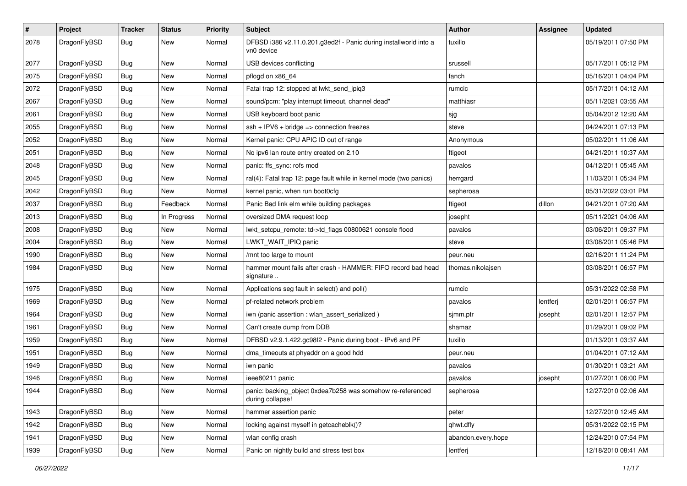| $\sharp$ | Project      | <b>Tracker</b> | <b>Status</b> | <b>Priority</b> | Subject                                                                        | Author             | Assignee | <b>Updated</b>      |
|----------|--------------|----------------|---------------|-----------------|--------------------------------------------------------------------------------|--------------------|----------|---------------------|
| 2078     | DragonFlyBSD | Bug            | <b>New</b>    | Normal          | DFBSD i386 v2.11.0.201.g3ed2f - Panic during installworld into a<br>vn0 device | tuxillo            |          | 05/19/2011 07:50 PM |
| 2077     | DragonFlyBSD | <b>Bug</b>     | New           | Normal          | USB devices conflicting                                                        | srussell           |          | 05/17/2011 05:12 PM |
| 2075     | DragonFlyBSD | <b>Bug</b>     | New           | Normal          | pflogd on x86 64                                                               | fanch              |          | 05/16/2011 04:04 PM |
| 2072     | DragonFlyBSD | Bug            | New           | Normal          | Fatal trap 12: stopped at lwkt_send_ipiq3                                      | rumcic             |          | 05/17/2011 04:12 AM |
| 2067     | DragonFlyBSD | <b>Bug</b>     | New           | Normal          | sound/pcm: "play interrupt timeout, channel dead"                              | matthiasr          |          | 05/11/2021 03:55 AM |
| 2061     | DragonFlyBSD | <b>Bug</b>     | New           | Normal          | USB keyboard boot panic                                                        | sjg                |          | 05/04/2012 12:20 AM |
| 2055     | DragonFlyBSD | <b>Bug</b>     | New           | Normal          | $ssh + IPV6 + bridge \Rightarrow connection freezes$                           | steve              |          | 04/24/2011 07:13 PM |
| 2052     | DragonFlyBSD | <b>Bug</b>     | New           | Normal          | Kernel panic: CPU APIC ID out of range                                         | Anonymous          |          | 05/02/2011 11:06 AM |
| 2051     | DragonFlyBSD | Bug            | <b>New</b>    | Normal          | No ipv6 lan route entry created on 2.10                                        | ftigeot            |          | 04/21/2011 10:37 AM |
| 2048     | DragonFlyBSD | <b>Bug</b>     | New           | Normal          | panic: ffs_sync: rofs mod                                                      | pavalos            |          | 04/12/2011 05:45 AM |
| 2045     | DragonFlyBSD | <b>Bug</b>     | <b>New</b>    | Normal          | ral(4): Fatal trap 12: page fault while in kernel mode (two panics)            | herrgard           |          | 11/03/2011 05:34 PM |
| 2042     | DragonFlyBSD | <b>Bug</b>     | New           | Normal          | kernel panic, when run boot0cfg                                                | sepherosa          |          | 05/31/2022 03:01 PM |
| 2037     | DragonFlyBSD | <b>Bug</b>     | Feedback      | Normal          | Panic Bad link elm while building packages                                     | ftigeot            | dillon   | 04/21/2011 07:20 AM |
| 2013     | DragonFlyBSD | Bug            | In Progress   | Normal          | oversized DMA request loop                                                     | josepht            |          | 05/11/2021 04:06 AM |
| 2008     | DragonFlyBSD | <b>Bug</b>     | <b>New</b>    | Normal          | lwkt_setcpu_remote: td->td_flags 00800621 console flood                        | pavalos            |          | 03/06/2011 09:37 PM |
| 2004     | DragonFlyBSD | <b>Bug</b>     | New           | Normal          | LWKT_WAIT_IPIQ panic                                                           | steve              |          | 03/08/2011 05:46 PM |
| 1990     | DragonFlyBSD | Bug            | New           | Normal          | /mnt too large to mount                                                        | peur.neu           |          | 02/16/2011 11:24 PM |
| 1984     | DragonFlyBSD | Bug            | <b>New</b>    | Normal          | hammer mount fails after crash - HAMMER: FIFO record bad head<br>signature     | thomas.nikolajsen  |          | 03/08/2011 06:57 PM |
| 1975     | DragonFlyBSD | <b>Bug</b>     | New           | Normal          | Applications seg fault in select() and poll()                                  | rumcic             |          | 05/31/2022 02:58 PM |
| 1969     | DragonFlyBSD | Bug            | New           | Normal          | pf-related network problem                                                     | pavalos            | lentferj | 02/01/2011 06:57 PM |
| 1964     | DragonFlyBSD | Bug            | New           | Normal          | iwn (panic assertion : wlan_assert_serialized)                                 | sjmm.ptr           | josepht  | 02/01/2011 12:57 PM |
| 1961     | DragonFlyBSD | <b>Bug</b>     | New           | Normal          | Can't create dump from DDB                                                     | shamaz             |          | 01/29/2011 09:02 PM |
| 1959     | DragonFlyBSD | Bug            | New           | Normal          | DFBSD v2.9.1.422.gc98f2 - Panic during boot - IPv6 and PF                      | tuxillo            |          | 01/13/2011 03:37 AM |
| 1951     | DragonFlyBSD | Bug            | New           | Normal          | dma_timeouts at phyaddr on a good hdd                                          | peur.neu           |          | 01/04/2011 07:12 AM |
| 1949     | DragonFlyBSD | Bug            | <b>New</b>    | Normal          | iwn panic                                                                      | pavalos            |          | 01/30/2011 03:21 AM |
| 1946     | DragonFlyBSD | Bug            | New           | Normal          | ieee80211 panic                                                                | pavalos            | josepht  | 01/27/2011 06:00 PM |
| 1944     | DragonFlyBSD | <b>Bug</b>     | New           | Normal          | panic: backing_object 0xdea7b258 was somehow re-referenced<br>during collapse! | sepherosa          |          | 12/27/2010 02:06 AM |
| 1943     | DragonFlyBSD | <b>Bug</b>     | <b>New</b>    | Normal          | hammer assertion panic                                                         | peter              |          | 12/27/2010 12:45 AM |
| 1942     | DragonFlyBSD | <b>Bug</b>     | New           | Normal          | locking against myself in getcacheblk()?                                       | qhwt.dfly          |          | 05/31/2022 02:15 PM |
| 1941     | DragonFlyBSD | <b>Bug</b>     | New           | Normal          | wlan config crash                                                              | abandon.every.hope |          | 12/24/2010 07:54 PM |
| 1939     | DragonFlyBSD | <b>Bug</b>     | New           | Normal          | Panic on nightly build and stress test box                                     | lentferj           |          | 12/18/2010 08:41 AM |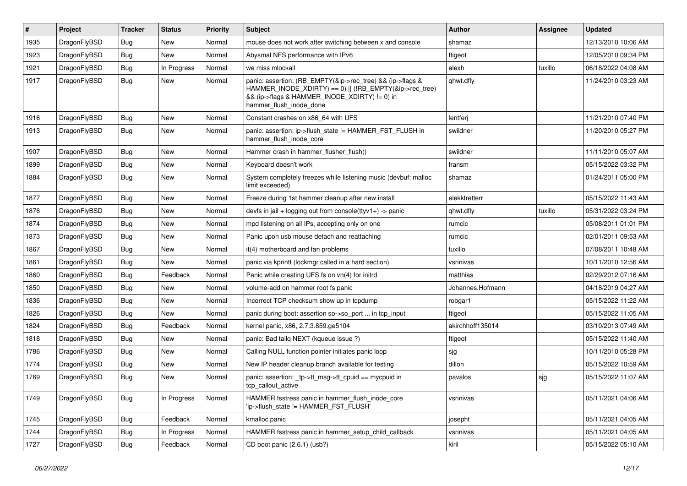| #    | Project      | <b>Tracker</b> | <b>Status</b> | <b>Priority</b> | <b>Subject</b>                                                                                                                                                                                    | Author           | <b>Assignee</b> | <b>Updated</b>      |
|------|--------------|----------------|---------------|-----------------|---------------------------------------------------------------------------------------------------------------------------------------------------------------------------------------------------|------------------|-----------------|---------------------|
| 1935 | DragonFlyBSD | Bug            | <b>New</b>    | Normal          | mouse does not work after switching between x and console                                                                                                                                         | shamaz           |                 | 12/13/2010 10:06 AM |
| 1923 | DragonFlyBSD | <b>Bug</b>     | <b>New</b>    | Normal          | Abysmal NFS performance with IPv6                                                                                                                                                                 | ftigeot          |                 | 12/05/2010 09:34 PM |
| 1921 | DragonFlyBSD | <b>Bug</b>     | In Progress   | Normal          | we miss mlockall                                                                                                                                                                                  | alexh            | tuxillo         | 06/18/2022 04:08 AM |
| 1917 | DragonFlyBSD | Bug            | New           | Normal          | panic: assertion: (RB_EMPTY(&ip->rec_tree) && (ip->flags &<br>HAMMER_INODE_XDIRTY) == 0)    (!RB_EMPTY(&ip->rec_tree)<br>&& (ip->flags & HAMMER_INODE_XDIRTY) != 0) in<br>hammer_flush_inode_done | qhwt.dfly        |                 | 11/24/2010 03:23 AM |
| 1916 | DragonFlyBSD | <b>Bug</b>     | <b>New</b>    | Normal          | Constant crashes on x86 64 with UFS                                                                                                                                                               | lentferj         |                 | 11/21/2010 07:40 PM |
| 1913 | DragonFlyBSD | Bug            | <b>New</b>    | Normal          | panic: assertion: ip->flush_state != HAMMER_FST_FLUSH in<br>hammer_flush_inode_core                                                                                                               | swildner         |                 | 11/20/2010 05:27 PM |
| 1907 | DragonFlyBSD | <b>Bug</b>     | <b>New</b>    | Normal          | Hammer crash in hammer flusher flush()                                                                                                                                                            | swildner         |                 | 11/11/2010 05:07 AM |
| 1899 | DragonFlyBSD | Bug            | New           | Normal          | Keyboard doesn't work                                                                                                                                                                             | fransm           |                 | 05/15/2022 03:32 PM |
| 1884 | DragonFlyBSD | Bug            | <b>New</b>    | Normal          | System completely freezes while listening music (devbuf: malloc<br>limit exceeded)                                                                                                                | shamaz           |                 | 01/24/2011 05:00 PM |
| 1877 | DragonFlyBSD | Bug            | <b>New</b>    | Normal          | Freeze during 1st hammer cleanup after new install                                                                                                                                                | elekktretterr    |                 | 05/15/2022 11:43 AM |
| 1876 | DragonFlyBSD | Bug            | <b>New</b>    | Normal          | devfs in jail + logging out from console(ttyv1+) -> panic                                                                                                                                         | qhwt.dfly        | tuxillo         | 05/31/2022 03:24 PM |
| 1874 | DragonFlyBSD | <b>Bug</b>     | <b>New</b>    | Normal          | mpd listening on all IPs, accepting only on one                                                                                                                                                   | rumcic           |                 | 05/08/2011 01:01 PM |
| 1873 | DragonFlyBSD | <b>Bug</b>     | <b>New</b>    | Normal          | Panic upon usb mouse detach and reattaching                                                                                                                                                       | rumcic           |                 | 02/01/2011 09:53 AM |
| 1867 | DragonFlyBSD | <b>Bug</b>     | <b>New</b>    | Normal          | it(4) motherboard and fan problems                                                                                                                                                                | tuxillo          |                 | 07/08/2011 10:48 AM |
| 1861 | DragonFlyBSD | Bug            | <b>New</b>    | Normal          | panic via kprintf (lockmgr called in a hard section)                                                                                                                                              | vsrinivas        |                 | 10/11/2010 12:56 AM |
| 1860 | DragonFlyBSD | <b>Bug</b>     | Feedback      | Normal          | Panic while creating UFS fs on vn(4) for initrd                                                                                                                                                   | matthias         |                 | 02/29/2012 07:16 AM |
| 1850 | DragonFlyBSD | <b>Bug</b>     | New           | Normal          | volume-add on hammer root fs panic                                                                                                                                                                | Johannes.Hofmann |                 | 04/18/2019 04:27 AM |
| 1836 | DragonFlyBSD | Bug            | <b>New</b>    | Normal          | Incorrect TCP checksum show up in tcpdump                                                                                                                                                         | robgar1          |                 | 05/15/2022 11:22 AM |
| 1826 | DragonFlyBSD | <b>Bug</b>     | New           | Normal          | panic during boot: assertion so->so port  in tcp input                                                                                                                                            | ftigeot          |                 | 05/15/2022 11:05 AM |
| 1824 | DragonFlyBSD | Bug            | Feedback      | Normal          | kernel panic, x86, 2.7.3.859.ge5104                                                                                                                                                               | akirchhoff135014 |                 | 03/10/2013 07:49 AM |
| 1818 | DragonFlyBSD | Bug            | <b>New</b>    | Normal          | panic: Bad tailq NEXT (kqueue issue ?)                                                                                                                                                            | ftigeot          |                 | 05/15/2022 11:40 AM |
| 1786 | DragonFlyBSD | <b>Bug</b>     | <b>New</b>    | Normal          | Calling NULL function pointer initiates panic loop                                                                                                                                                | sjg              |                 | 10/11/2010 05:28 PM |
| 1774 | DragonFlyBSD | Bug            | <b>New</b>    | Normal          | New IP header cleanup branch available for testing                                                                                                                                                | dillon           |                 | 05/15/2022 10:59 AM |
| 1769 | DragonFlyBSD | Bug            | <b>New</b>    | Normal          | panic: assertion: _tp->tt_msg->tt_cpuid == mycpuid in<br>tcp callout active                                                                                                                       | pavalos          | sjg             | 05/15/2022 11:07 AM |
| 1749 | DragonFlyBSD | Bug            | In Progress   | Normal          | HAMMER fsstress panic in hammer_flush_inode_core<br>'ip->flush_state != HAMMER_FST_FLUSH'                                                                                                         | vsrinivas        |                 | 05/11/2021 04:06 AM |
| 1745 | DragonFlyBSD | <b>Bug</b>     | Feedback      | Normal          | kmalloc panic                                                                                                                                                                                     | josepht          |                 | 05/11/2021 04:05 AM |
| 1744 | DragonFlyBSD | <b>Bug</b>     | In Progress   | Normal          | HAMMER fsstress panic in hammer_setup_child_callback                                                                                                                                              | vsrinivas        |                 | 05/11/2021 04:05 AM |
| 1727 | DragonFlyBSD | <b>Bug</b>     | Feedback      | Normal          | CD boot panic (2.6.1) (usb?)                                                                                                                                                                      | kiril            |                 | 05/15/2022 05:10 AM |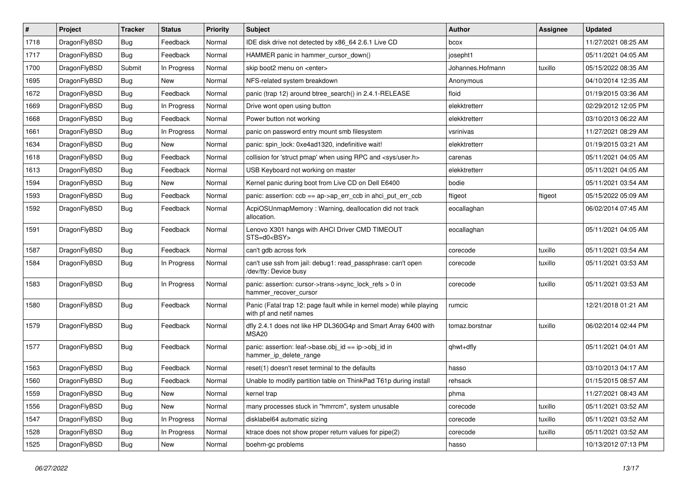| #    | Project      | <b>Tracker</b> | <b>Status</b> | <b>Priority</b> | <b>Subject</b>                                                                                  | Author           | Assignee | <b>Updated</b>      |
|------|--------------|----------------|---------------|-----------------|-------------------------------------------------------------------------------------------------|------------------|----------|---------------------|
| 1718 | DragonFlyBSD | <b>Bug</b>     | Feedback      | Normal          | IDE disk drive not detected by x86_64 2.6.1 Live CD                                             | bcox             |          | 11/27/2021 08:25 AM |
| 1717 | DragonFlyBSD | <b>Bug</b>     | Feedback      | Normal          | HAMMER panic in hammer cursor down()                                                            | josepht1         |          | 05/11/2021 04:05 AM |
| 1700 | DragonFlyBSD | Submit         | In Progress   | Normal          | skip boot2 menu on <enter></enter>                                                              | Johannes.Hofmann | tuxillo  | 05/15/2022 08:35 AM |
| 1695 | DragonFlyBSD | <b>Bug</b>     | New           | Normal          | NFS-related system breakdown                                                                    | Anonymous        |          | 04/10/2014 12:35 AM |
| 1672 | DragonFlyBSD | <b>Bug</b>     | Feedback      | Normal          | panic (trap 12) around btree_search() in 2.4.1-RELEASE                                          | floid            |          | 01/19/2015 03:36 AM |
| 1669 | DragonFlyBSD | <b>Bug</b>     | In Progress   | Normal          | Drive wont open using button                                                                    | elekktretterr    |          | 02/29/2012 12:05 PM |
| 1668 | DragonFlyBSD | <b>Bug</b>     | Feedback      | Normal          | Power button not working                                                                        | elekktretterr    |          | 03/10/2013 06:22 AM |
| 1661 | DragonFlyBSD | <b>Bug</b>     | In Progress   | Normal          | panic on password entry mount smb filesystem                                                    | vsrinivas        |          | 11/27/2021 08:29 AM |
| 1634 | DragonFlyBSD | <b>Bug</b>     | <b>New</b>    | Normal          | panic: spin lock: 0xe4ad1320, indefinitive wait!                                                | elekktretterr    |          | 01/19/2015 03:21 AM |
| 1618 | DragonFlyBSD | <b>Bug</b>     | Feedback      | Normal          | collision for 'struct pmap' when using RPC and <sys user.h=""></sys>                            | carenas          |          | 05/11/2021 04:05 AM |
| 1613 | DragonFlyBSD | <b>Bug</b>     | Feedback      | Normal          | USB Keyboard not working on master                                                              | elekktretterr    |          | 05/11/2021 04:05 AM |
| 1594 | DragonFlyBSD | <b>Bug</b>     | New           | Normal          | Kernel panic during boot from Live CD on Dell E6400                                             | bodie            |          | 05/11/2021 03:54 AM |
| 1593 | DragonFlyBSD | <b>Bug</b>     | Feedback      | Normal          | panic: assertion: $ccb == ap > ap$ err $ccb$ in ahci put err $ccb$                              | ftigeot          | ftigeot  | 05/15/2022 05:09 AM |
| 1592 | DragonFlyBSD | <b>Bug</b>     | Feedback      | Normal          | AcpiOSUnmapMemory: Warning, deallocation did not track<br>allocation.                           | eocallaghan      |          | 06/02/2014 07:45 AM |
| 1591 | DragonFlyBSD | <b>Bug</b>     | Feedback      | Normal          | Lenovo X301 hangs with AHCI Driver CMD TIMEOUT<br>STS=d0 <bsy></bsy>                            | eocallaghan      |          | 05/11/2021 04:05 AM |
| 1587 | DragonFlyBSD | <b>Bug</b>     | Feedback      | Normal          | can't gdb across fork                                                                           | corecode         | tuxillo  | 05/11/2021 03:54 AM |
| 1584 | DragonFlyBSD | <b>Bug</b>     | In Progress   | Normal          | can't use ssh from jail: debug1: read_passphrase: can't open<br>/dev/tty: Device busy           | corecode         | tuxillo  | 05/11/2021 03:53 AM |
| 1583 | DragonFlyBSD | <b>Bug</b>     | In Progress   | Normal          | panic: assertion: cursor->trans->sync_lock_refs > 0 in<br>hammer_recover_cursor                 | corecode         | tuxillo  | 05/11/2021 03:53 AM |
| 1580 | DragonFlyBSD | <b>Bug</b>     | Feedback      | Normal          | Panic (Fatal trap 12: page fault while in kernel mode) while playing<br>with pf and netif names | rumcic           |          | 12/21/2018 01:21 AM |
| 1579 | DragonFlyBSD | <b>Bug</b>     | Feedback      | Normal          | dfly 2.4.1 does not like HP DL360G4p and Smart Array 6400 with<br><b>MSA20</b>                  | tomaz.borstnar   | tuxillo  | 06/02/2014 02:44 PM |
| 1577 | DragonFlyBSD | Bug            | Feedback      | Normal          | panic: assertion: leaf->base.obj_id == ip->obj_id in<br>hammer_ip_delete_range                  | qhwt+dfly        |          | 05/11/2021 04:01 AM |
| 1563 | DragonFlyBSD | Bug            | Feedback      | Normal          | reset(1) doesn't reset terminal to the defaults                                                 | hasso            |          | 03/10/2013 04:17 AM |
| 1560 | DragonFlyBSD | Bug            | Feedback      | Normal          | Unable to modify partition table on ThinkPad T61p during install                                | rehsack          |          | 01/15/2015 08:57 AM |
| 1559 | DragonFlyBSD | <b>Bug</b>     | New           | Normal          | kernel trap                                                                                     | phma             |          | 11/27/2021 08:43 AM |
| 1556 | DragonFlyBSD | <b>Bug</b>     | New           | Normal          | many processes stuck in "hmrrcm", system unusable                                               | corecode         | tuxillo  | 05/11/2021 03:52 AM |
| 1547 | DragonFlyBSD | Bug            | In Progress   | Normal          | disklabel64 automatic sizing                                                                    | corecode         | tuxillo  | 05/11/2021 03:52 AM |
| 1528 | DragonFlyBSD | <b>Bug</b>     | In Progress   | Normal          | ktrace does not show proper return values for pipe(2)                                           | corecode         | tuxillo  | 05/11/2021 03:52 AM |
| 1525 | DragonFlyBSD | <b>Bug</b>     | New           | Normal          | boehm-gc problems                                                                               | hasso            |          | 10/13/2012 07:13 PM |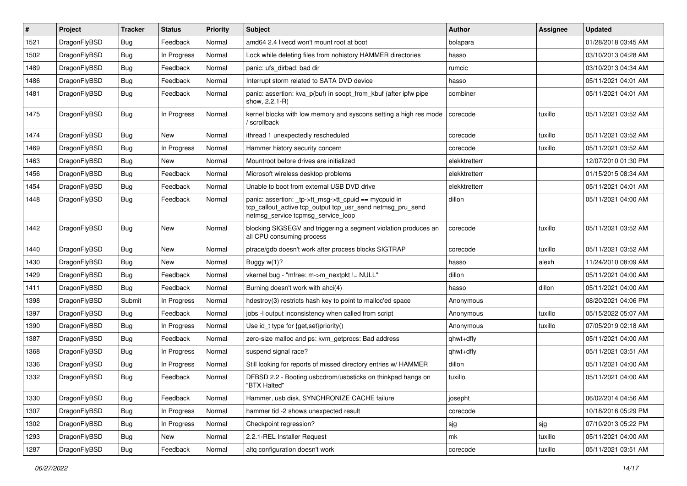| #    | Project      | <b>Tracker</b> | <b>Status</b> | <b>Priority</b> | Subject                                                                                                                                                  | Author        | <b>Assignee</b> | <b>Updated</b>      |
|------|--------------|----------------|---------------|-----------------|----------------------------------------------------------------------------------------------------------------------------------------------------------|---------------|-----------------|---------------------|
| 1521 | DragonFlyBSD | <b>Bug</b>     | Feedback      | Normal          | amd64 2.4 livecd won't mount root at boot                                                                                                                | bolapara      |                 | 01/28/2018 03:45 AM |
| 1502 | DragonFlyBSD | <b>Bug</b>     | In Progress   | Normal          | Lock while deleting files from nohistory HAMMER directories                                                                                              | hasso         |                 | 03/10/2013 04:28 AM |
| 1489 | DragonFlyBSD | <b>Bug</b>     | Feedback      | Normal          | panic: ufs dirbad: bad dir                                                                                                                               | rumcic        |                 | 03/10/2013 04:34 AM |
| 1486 | DragonFlyBSD | Bug            | Feedback      | Normal          | Interrupt storm related to SATA DVD device                                                                                                               | hasso         |                 | 05/11/2021 04:01 AM |
| 1481 | DragonFlyBSD | <b>Bug</b>     | Feedback      | Normal          | panic: assertion: kva_p(buf) in soopt_from_kbuf (after ipfw pipe<br>show, 2.2.1-R)                                                                       | combiner      |                 | 05/11/2021 04:01 AM |
| 1475 | DragonFlyBSD | <b>Bug</b>     | In Progress   | Normal          | kernel blocks with low memory and syscons setting a high res mode<br>/ scrollback                                                                        | corecode      | tuxillo         | 05/11/2021 03:52 AM |
| 1474 | DragonFlyBSD | <b>Bug</b>     | <b>New</b>    | Normal          | ithread 1 unexpectedly rescheduled                                                                                                                       | corecode      | tuxillo         | 05/11/2021 03:52 AM |
| 1469 | DragonFlyBSD | <b>Bug</b>     | In Progress   | Normal          | Hammer history security concern                                                                                                                          | corecode      | tuxillo         | 05/11/2021 03:52 AM |
| 1463 | DragonFlyBSD | <b>Bug</b>     | New           | Normal          | Mountroot before drives are initialized                                                                                                                  | elekktretterr |                 | 12/07/2010 01:30 PM |
| 1456 | DragonFlyBSD | Bug            | Feedback      | Normal          | Microsoft wireless desktop problems                                                                                                                      | elekktretterr |                 | 01/15/2015 08:34 AM |
| 1454 | DragonFlyBSD | <b>Bug</b>     | Feedback      | Normal          | Unable to boot from external USB DVD drive                                                                                                               | elekktretterr |                 | 05/11/2021 04:01 AM |
| 1448 | DragonFlyBSD | Bug            | Feedback      | Normal          | panic: assertion: tp->tt_msg->tt_cpuid == mycpuid in<br>tcp_callout_active tcp_output tcp_usr_send netmsg_pru_send<br>netmsg_service tcpmsg_service_loop | dillon        |                 | 05/11/2021 04:00 AM |
| 1442 | DragonFlyBSD | Bug            | <b>New</b>    | Normal          | blocking SIGSEGV and triggering a segment violation produces an<br>all CPU consuming process                                                             | corecode      | tuxillo         | 05/11/2021 03:52 AM |
| 1440 | DragonFlyBSD | Bug            | <b>New</b>    | Normal          | ptrace/gdb doesn't work after process blocks SIGTRAP                                                                                                     | corecode      | tuxillo         | 05/11/2021 03:52 AM |
| 1430 | DragonFlyBSD | Bug            | <b>New</b>    | Normal          | Buggy $w(1)$ ?                                                                                                                                           | hasso         | alexh           | 11/24/2010 08:09 AM |
| 1429 | DragonFlyBSD | <b>Bug</b>     | Feedback      | Normal          | vkernel bug - "mfree: m->m_nextpkt != NULL"                                                                                                              | dillon        |                 | 05/11/2021 04:00 AM |
| 1411 | DragonFlyBSD | <b>Bug</b>     | Feedback      | Normal          | Burning doesn't work with ahci(4)                                                                                                                        | hasso         | dillon          | 05/11/2021 04:00 AM |
| 1398 | DragonFlyBSD | Submit         | In Progress   | Normal          | hdestroy(3) restricts hash key to point to malloc'ed space                                                                                               | Anonymous     |                 | 08/20/2021 04:06 PM |
| 1397 | DragonFlyBSD | <b>Bug</b>     | Feedback      | Normal          | jobs -I output inconsistency when called from script                                                                                                     | Anonymous     | tuxillo         | 05/15/2022 05:07 AM |
| 1390 | DragonFlyBSD | <b>Bug</b>     | In Progress   | Normal          | Use id_t type for {get,set}priority()                                                                                                                    | Anonymous     | tuxillo         | 07/05/2019 02:18 AM |
| 1387 | DragonFlyBSD | <b>Bug</b>     | Feedback      | Normal          | zero-size malloc and ps: kvm_getprocs: Bad address                                                                                                       | qhwt+dfly     |                 | 05/11/2021 04:00 AM |
| 1368 | DragonFlyBSD | <b>Bug</b>     | In Progress   | Normal          | suspend signal race?                                                                                                                                     | qhwt+dfly     |                 | 05/11/2021 03:51 AM |
| 1336 | DragonFlyBSD | Bug            | In Progress   | Normal          | Still looking for reports of missed directory entries w/ HAMMER                                                                                          | dillon        |                 | 05/11/2021 04:00 AM |
| 1332 | DragonFlyBSD | Bug            | Feedback      | Normal          | DFBSD 2.2 - Booting usbcdrom/usbsticks on thinkpad hangs on<br>"BTX Halted"                                                                              | tuxillo       |                 | 05/11/2021 04:00 AM |
| 1330 | DragonFlyBSD | <b>Bug</b>     | Feedback      | Normal          | Hammer, usb disk, SYNCHRONIZE CACHE failure                                                                                                              | josepht       |                 | 06/02/2014 04:56 AM |
| 1307 | DragonFlyBSD | <b>Bug</b>     | In Progress   | Normal          | hammer tid -2 shows unexpected result                                                                                                                    | corecode      |                 | 10/18/2016 05:29 PM |
| 1302 | DragonFlyBSD | <b>Bug</b>     | In Progress   | Normal          | Checkpoint regression?                                                                                                                                   | sjg           | sjg             | 07/10/2013 05:22 PM |
| 1293 | DragonFlyBSD | <b>Bug</b>     | New           | Normal          | 2.2.1-REL Installer Request                                                                                                                              | mk            | tuxillo         | 05/11/2021 04:00 AM |
| 1287 | DragonFlyBSD | Bug            | Feedback      | Normal          | altq configuration doesn't work                                                                                                                          | corecode      | tuxillo         | 05/11/2021 03:51 AM |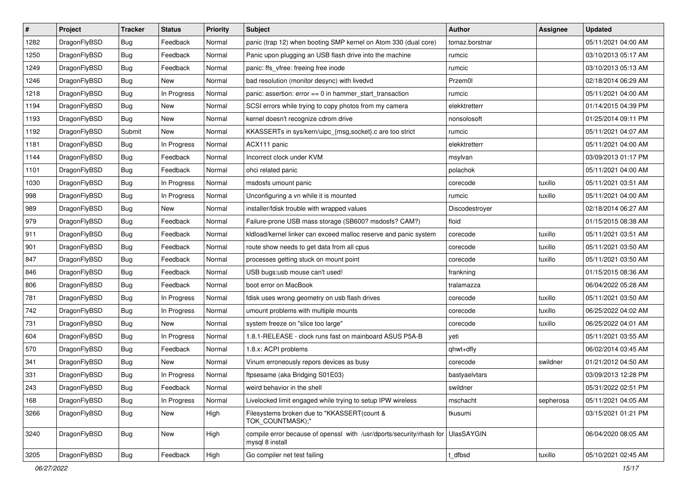| $\vert$ # | Project      | <b>Tracker</b> | <b>Status</b> | <b>Priority</b> | Subject                                                                                 | <b>Author</b>     | <b>Assignee</b> | <b>Updated</b>      |
|-----------|--------------|----------------|---------------|-----------------|-----------------------------------------------------------------------------------------|-------------------|-----------------|---------------------|
| 1282      | DragonFlyBSD | <b>Bug</b>     | Feedback      | Normal          | panic (trap 12) when booting SMP kernel on Atom 330 (dual core)                         | tomaz.borstnar    |                 | 05/11/2021 04:00 AM |
| 1250      | DragonFlyBSD | <b>Bug</b>     | Feedback      | Normal          | Panic upon plugging an USB flash drive into the machine                                 | rumcic            |                 | 03/10/2013 05:17 AM |
| 1249      | DragonFlyBSD | <b>Bug</b>     | Feedback      | Normal          | panic: ffs_vfree: freeing free inode                                                    | rumcic            |                 | 03/10/2013 05:13 AM |
| 1246      | DragonFlyBSD | <b>Bug</b>     | New           | Normal          | bad resolution (monitor desync) with livedvd                                            | Przem0l           |                 | 02/18/2014 06:29 AM |
| 1218      | DragonFlyBSD | Bug            | In Progress   | Normal          | panic: assertion: error == 0 in hammer_start_transaction                                | rumcic            |                 | 05/11/2021 04:00 AM |
| 1194      | DragonFlyBSD | <b>Bug</b>     | New           | Normal          | SCSI errors while trying to copy photos from my camera                                  | elekktretterr     |                 | 01/14/2015 04:39 PM |
| 1193      | DragonFlyBSD | <b>Bug</b>     | New           | Normal          | kernel doesn't recognize cdrom drive                                                    | nonsolosoft       |                 | 01/25/2014 09:11 PM |
| 1192      | DragonFlyBSD | Submit         | New           | Normal          | KKASSERTs in sys/kern/uipc_{msg,socket}.c are too strict                                | rumcic            |                 | 05/11/2021 04:07 AM |
| 1181      | DragonFlyBSD | <b>Bug</b>     | In Progress   | Normal          | ACX111 panic                                                                            | elekktretterr     |                 | 05/11/2021 04:00 AM |
| 1144      | DragonFlyBSD | <b>Bug</b>     | Feedback      | Normal          | Incorrect clock under KVM                                                               | msylvan           |                 | 03/09/2013 01:17 PM |
| 1101      | DragonFlyBSD | <b>Bug</b>     | Feedback      | Normal          | ohci related panic                                                                      | polachok          |                 | 05/11/2021 04:00 AM |
| 1030      | DragonFlyBSD | <b>Bug</b>     | In Progress   | Normal          | msdosfs umount panic                                                                    | corecode          | tuxillo         | 05/11/2021 03:51 AM |
| 998       | DragonFlyBSD | <b>Bug</b>     | In Progress   | Normal          | Unconfiguring a vn while it is mounted                                                  | rumcic            | tuxillo         | 05/11/2021 04:00 AM |
| 989       | DragonFlyBSD | <b>Bug</b>     | New           | Normal          | installer/fdisk trouble with wrapped values                                             | Discodestroyer    |                 | 02/18/2014 06:27 AM |
| 979       | DragonFlyBSD | Bug            | Feedback      | Normal          | Failure-prone USB mass storage (SB600? msdosfs? CAM?)                                   | floid             |                 | 01/15/2015 08:38 AM |
| 911       | DragonFlyBSD | Bug            | Feedback      | Normal          | kldload/kernel linker can exceed malloc reserve and panic system                        | corecode          | tuxillo         | 05/11/2021 03:51 AM |
| 901       | DragonFlyBSD | Bug            | Feedback      | Normal          | route show needs to get data from all cpus                                              | corecode          | tuxillo         | 05/11/2021 03:50 AM |
| 847       | DragonFlyBSD | Bug            | Feedback      | Normal          | processes getting stuck on mount point                                                  | corecode          | tuxillo         | 05/11/2021 03:50 AM |
| 846       | DragonFlyBSD | <b>Bug</b>     | Feedback      | Normal          | USB bugs:usb mouse can't used!                                                          | frankning         |                 | 01/15/2015 08:36 AM |
| 806       | DragonFlyBSD | Bug            | Feedback      | Normal          | boot error on MacBook                                                                   | tralamazza        |                 | 06/04/2022 05:28 AM |
| 781       | DragonFlyBSD | Bug            | In Progress   | Normal          | fdisk uses wrong geometry on usb flash drives                                           | corecode          | tuxillo         | 05/11/2021 03:50 AM |
| 742       | DragonFlyBSD | Bug            | In Progress   | Normal          | umount problems with multiple mounts                                                    | corecode          | tuxillo         | 06/25/2022 04:02 AM |
| 731       | DragonFlyBSD | Bug            | New           | Normal          | system freeze on "slice too large"                                                      | corecode          | tuxillo         | 06/25/2022 04:01 AM |
| 604       | DragonFlyBSD | <b>Bug</b>     | In Progress   | Normal          | 1.8.1-RELEASE - clock runs fast on mainboard ASUS P5A-B                                 | yeti              |                 | 05/11/2021 03:55 AM |
| 570       | DragonFlyBSD | Bug            | Feedback      | Normal          | 1.8.x: ACPI problems                                                                    | qhwt+dfly         |                 | 06/02/2014 03:45 AM |
| 341       | DragonFlyBSD | Bug            | New           | Normal          | Vinum erroneously repors devices as busy                                                | corecode          | swildner        | 01/21/2012 04:50 AM |
| 331       | DragonFlyBSD | Bug            | In Progress   | Normal          | ftpsesame (aka Bridging S01E03)                                                         | bastyaelvtars     |                 | 03/09/2013 12:28 PM |
| 243       | DragonFlyBSD | <b>Bug</b>     | Feedback      | Normal          | weird behavior in the shell                                                             | swildner          |                 | 05/31/2022 02:51 PM |
| 168       | DragonFlyBSD | <b>Bug</b>     | In Progress   | Normal          | Livelocked limit engaged while trying to setup IPW wireless                             | mschacht          | sepherosa       | 05/11/2021 04:05 AM |
| 3266      | DragonFlyBSD | <b>Bug</b>     | New           | High            | Filesystems broken due to "KKASSERT(count &<br>TOK_COUNTMASK);"                         | tkusumi           |                 | 03/15/2021 01:21 PM |
| 3240      | DragonFlyBSD | <b>Bug</b>     | New           | High            | compile error because of openssl with /usr/dports/security/rhash for<br>mysql 8 install | <b>UlasSAYGIN</b> |                 | 06/04/2020 08:05 AM |
| 3205      | DragonFlyBSD | <b>Bug</b>     | Feedback      | High            | Go compiler net test failing                                                            | t_dfbsd           | tuxillo         | 05/10/2021 02:45 AM |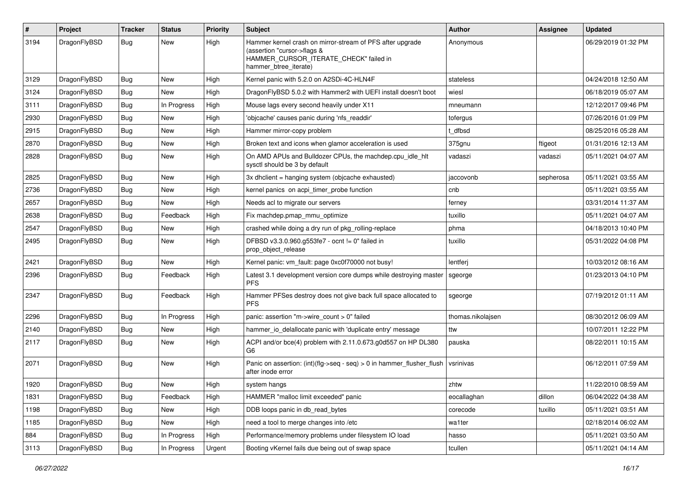| #    | Project      | <b>Tracker</b> | <b>Status</b> | <b>Priority</b> | Subject                                                                                                                                                     | Author            | Assignee  | <b>Updated</b>      |
|------|--------------|----------------|---------------|-----------------|-------------------------------------------------------------------------------------------------------------------------------------------------------------|-------------------|-----------|---------------------|
| 3194 | DragonFlyBSD | Bug            | New           | High            | Hammer kernel crash on mirror-stream of PFS after upgrade<br>(assertion "cursor->flags &<br>HAMMER_CURSOR_ITERATE_CHECK" failed in<br>hammer_btree_iterate) | Anonymous         |           | 06/29/2019 01:32 PM |
| 3129 | DragonFlyBSD | <b>Bug</b>     | <b>New</b>    | High            | Kernel panic with 5.2.0 on A2SDi-4C-HLN4F                                                                                                                   | stateless         |           | 04/24/2018 12:50 AM |
| 3124 | DragonFlyBSD | Bug            | New           | High            | DragonFlyBSD 5.0.2 with Hammer2 with UEFI install doesn't boot                                                                                              | wiesl             |           | 06/18/2019 05:07 AM |
| 3111 | DragonFlyBSD | <b>Bug</b>     | In Progress   | High            | Mouse lags every second heavily under X11                                                                                                                   | mneumann          |           | 12/12/2017 09:46 PM |
| 2930 | DragonFlyBSD | <b>Bug</b>     | New           | High            | 'objcache' causes panic during 'nfs_readdir'                                                                                                                | tofergus          |           | 07/26/2016 01:09 PM |
| 2915 | DragonFlyBSD | <b>Bug</b>     | <b>New</b>    | High            | Hammer mirror-copy problem                                                                                                                                  | t dfbsd           |           | 08/25/2016 05:28 AM |
| 2870 | DragonFlyBSD | Bug            | <b>New</b>    | High            | Broken text and icons when glamor acceleration is used                                                                                                      | 375gnu            | ftigeot   | 01/31/2016 12:13 AM |
| 2828 | DragonFlyBSD | <b>Bug</b>     | New           | High            | On AMD APUs and Bulldozer CPUs, the machdep.cpu_idle_hlt<br>sysctl should be 3 by default                                                                   | vadaszi           | vadaszi   | 05/11/2021 04:07 AM |
| 2825 | DragonFlyBSD | Bug            | <b>New</b>    | High            | 3x dhclient = hanging system (objcache exhausted)                                                                                                           | jaccovonb         | sepherosa | 05/11/2021 03:55 AM |
| 2736 | DragonFlyBSD | <b>Bug</b>     | New           | High            | kernel panics on acpi timer probe function                                                                                                                  | cnb               |           | 05/11/2021 03:55 AM |
| 2657 | DragonFlyBSD | Bug            | <b>New</b>    | High            | Needs acl to migrate our servers                                                                                                                            | ferney            |           | 03/31/2014 11:37 AM |
| 2638 | DragonFlyBSD | <b>Bug</b>     | Feedback      | High            | Fix machdep.pmap mmu optimize                                                                                                                               | tuxillo           |           | 05/11/2021 04:07 AM |
| 2547 | DragonFlyBSD | <b>Bug</b>     | <b>New</b>    | High            | crashed while doing a dry run of pkg_rolling-replace                                                                                                        | phma              |           | 04/18/2013 10:40 PM |
| 2495 | DragonFlyBSD | Bug            | New           | High            | DFBSD v3.3.0.960.g553fe7 - ocnt != 0" failed in<br>prop object release                                                                                      | tuxillo           |           | 05/31/2022 04:08 PM |
| 2421 | DragonFlyBSD | <b>Bug</b>     | <b>New</b>    | High            | Kernel panic: vm_fault: page 0xc0f70000 not busy!                                                                                                           | lentferj          |           | 10/03/2012 08:16 AM |
| 2396 | DragonFlyBSD | Bug            | Feedback      | High            | Latest 3.1 development version core dumps while destroying master<br><b>PFS</b>                                                                             | sgeorge           |           | 01/23/2013 04:10 PM |
| 2347 | DragonFlyBSD | Bug            | Feedback      | High            | Hammer PFSes destroy does not give back full space allocated to<br><b>PFS</b>                                                                               | sgeorge           |           | 07/19/2012 01:11 AM |
| 2296 | DragonFlyBSD | Bug            | In Progress   | High            | panic: assertion "m->wire_count > 0" failed                                                                                                                 | thomas.nikolajsen |           | 08/30/2012 06:09 AM |
| 2140 | DragonFlyBSD | Bug            | <b>New</b>    | High            | hammer_io_delallocate panic with 'duplicate entry' message                                                                                                  | ttw               |           | 10/07/2011 12:22 PM |
| 2117 | DragonFlyBSD | <b>Bug</b>     | New           | High            | ACPI and/or bce(4) problem with 2.11.0.673.g0d557 on HP DL380<br>G6                                                                                         | pauska            |           | 08/22/2011 10:15 AM |
| 2071 | DragonFlyBSD | Bug            | New           | High            | Panic on assertion: (int)(flg->seq - seq) > 0 in hammer_flusher_flush<br>after inode error                                                                  | vsrinivas         |           | 06/12/2011 07:59 AM |
| 1920 | DragonFlyBSD | <b>Bug</b>     | New           | High            | system hangs                                                                                                                                                | zhtw              |           | 11/22/2010 08:59 AM |
| 1831 | DragonFlyBSD | Bug            | Feedback      | High            | HAMMER "malloc limit exceeded" panic                                                                                                                        | eocallaghan       | dillon    | 06/04/2022 04:38 AM |
| 1198 | DragonFlyBSD | <b>Bug</b>     | New           | High            | DDB loops panic in db read bytes                                                                                                                            | corecode          | tuxillo   | 05/11/2021 03:51 AM |
| 1185 | DragonFlyBSD | <b>Bug</b>     | New           | High            | need a tool to merge changes into /etc                                                                                                                      | wa1ter            |           | 02/18/2014 06:02 AM |
| 884  | DragonFlyBSD | <b>Bug</b>     | In Progress   | High            | Performance/memory problems under filesystem IO load                                                                                                        | hasso             |           | 05/11/2021 03:50 AM |
| 3113 | DragonFlyBSD | <b>Bug</b>     | In Progress   | Urgent          | Booting vKernel fails due being out of swap space                                                                                                           | tcullen           |           | 05/11/2021 04:14 AM |